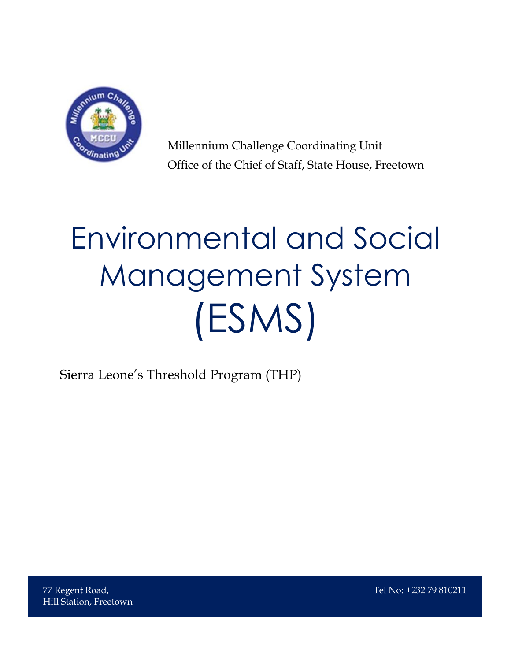

Millennium Challenge Coordinating Unit Office of the Chief of Staff, State House, Freetown

# Environmental and Social Management System (ESMS)

Sierra Leone's Threshold Program (THP)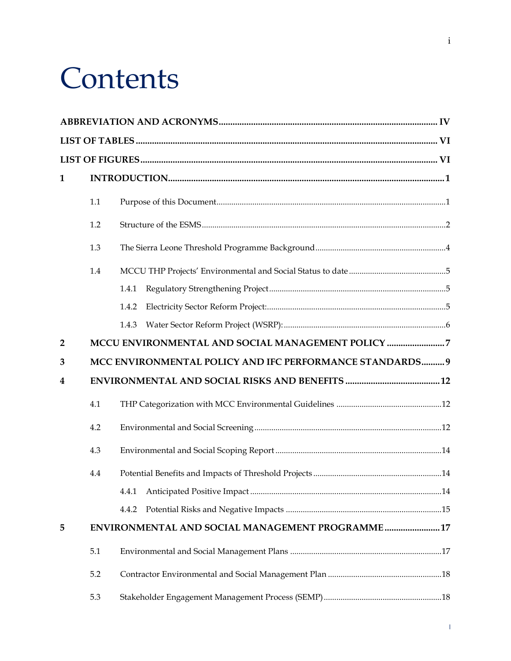## **Contents**

| $\mathbf{1}$   |     |                                                          |  |
|----------------|-----|----------------------------------------------------------|--|
|                | 1.1 |                                                          |  |
|                | 1.2 |                                                          |  |
|                | 1.3 |                                                          |  |
|                | 1.4 |                                                          |  |
|                |     | 1.4.1                                                    |  |
|                |     | 1.4.2                                                    |  |
|                |     | 1.4.3                                                    |  |
| $\overline{2}$ |     | MCCU ENVIRONMENTAL AND SOCIAL MANAGEMENT POLICY 7        |  |
| 3              |     | MCC ENVIRONMENTAL POLICY AND IFC PERFORMANCE STANDARDS 9 |  |
| 4              |     |                                                          |  |
|                | 4.1 |                                                          |  |
|                | 4.2 |                                                          |  |
|                | 4.3 |                                                          |  |
|                | 4.4 |                                                          |  |
|                |     |                                                          |  |
|                |     | 4.4.2                                                    |  |
| 5              |     | ENVIRONMENTAL AND SOCIAL MANAGEMENT PROGRAMME17          |  |
|                | 5.1 |                                                          |  |
|                | 5.2 |                                                          |  |
|                | 5.3 |                                                          |  |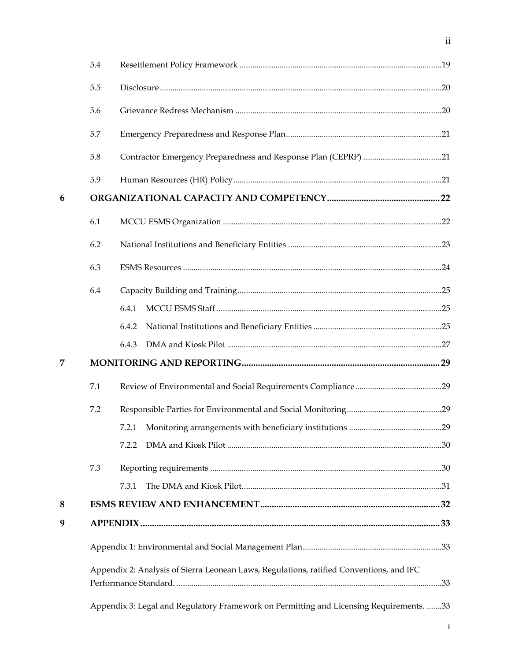|   | 5.4 |                                                                                         |     |  |  |
|---|-----|-----------------------------------------------------------------------------------------|-----|--|--|
|   | 5.5 |                                                                                         |     |  |  |
|   | 5.6 |                                                                                         |     |  |  |
|   | 5.7 |                                                                                         |     |  |  |
|   | 5.8 |                                                                                         |     |  |  |
|   | 5.9 |                                                                                         |     |  |  |
| 6 |     |                                                                                         |     |  |  |
|   | 6.1 |                                                                                         |     |  |  |
|   | 6.2 |                                                                                         |     |  |  |
|   | 6.3 |                                                                                         |     |  |  |
|   | 6.4 |                                                                                         |     |  |  |
|   |     | 6.4.1                                                                                   |     |  |  |
|   |     | 6.4.2                                                                                   |     |  |  |
|   |     | 6.4.3                                                                                   |     |  |  |
| 7 |     |                                                                                         |     |  |  |
|   | 7.1 |                                                                                         |     |  |  |
|   | 7.2 |                                                                                         |     |  |  |
|   |     |                                                                                         | .29 |  |  |
|   |     | 7.2.2                                                                                   |     |  |  |
|   | 7.3 |                                                                                         |     |  |  |
|   |     | 7.3.1                                                                                   |     |  |  |
| 8 |     |                                                                                         |     |  |  |
| 9 |     |                                                                                         |     |  |  |
|   |     |                                                                                         |     |  |  |
|   |     | Appendix 2: Analysis of Sierra Leonean Laws, Regulations, ratified Conventions, and IFC |     |  |  |
|   |     | Appendix 3: Legal and Regulatory Framework on Permitting and Licensing Requirements. 33 |     |  |  |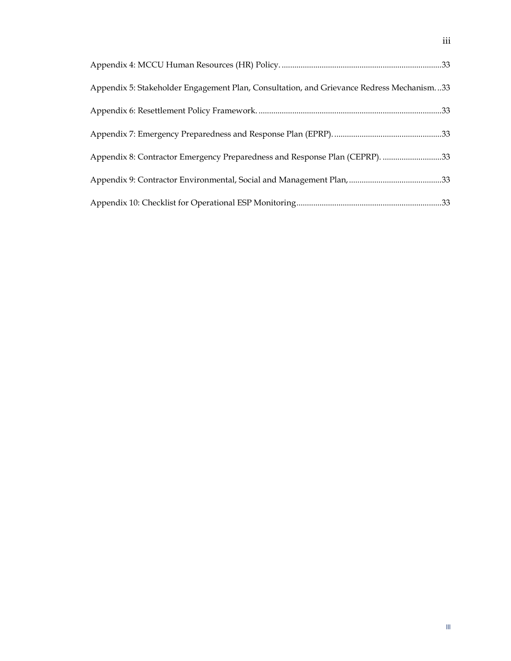| 33 Appendix 5: Stakeholder Engagement Plan, Consultation, and Grievance Redress Mechanism |  |
|-------------------------------------------------------------------------------------------|--|
|                                                                                           |  |
|                                                                                           |  |
| Appendix 8: Contractor Emergency Preparedness and Response Plan (CEPRP). 33               |  |
|                                                                                           |  |
|                                                                                           |  |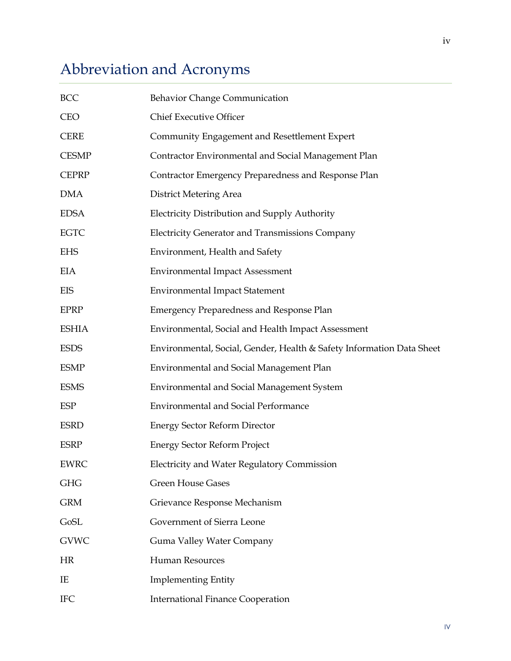## <span id="page-4-0"></span>Abbreviation and Acronyms

| BCC          | Behavior Change Communication                                         |
|--------------|-----------------------------------------------------------------------|
| <b>CEO</b>   | <b>Chief Executive Officer</b>                                        |
| <b>CERE</b>  | Community Engagement and Resettlement Expert                          |
| <b>CESMP</b> | Contractor Environmental and Social Management Plan                   |
| <b>CEPRP</b> | Contractor Emergency Preparedness and Response Plan                   |
| <b>DMA</b>   | District Metering Area                                                |
| <b>EDSA</b>  | Electricity Distribution and Supply Authority                         |
| <b>EGTC</b>  | <b>Electricity Generator and Transmissions Company</b>                |
| <b>EHS</b>   | Environment, Health and Safety                                        |
| <b>EIA</b>   | <b>Environmental Impact Assessment</b>                                |
| EIS          | <b>Environmental Impact Statement</b>                                 |
| <b>EPRP</b>  | <b>Emergency Preparedness and Response Plan</b>                       |
| <b>ESHIA</b> | Environmental, Social and Health Impact Assessment                    |
| <b>ESDS</b>  | Environmental, Social, Gender, Health & Safety Information Data Sheet |
| <b>ESMP</b>  | Environmental and Social Management Plan                              |
| <b>ESMS</b>  | <b>Environmental and Social Management System</b>                     |
| ESP          | <b>Environmental and Social Performance</b>                           |
| <b>ESRD</b>  | <b>Energy Sector Reform Director</b>                                  |
| <b>ESRP</b>  | <b>Energy Sector Reform Project</b>                                   |
| <b>EWRC</b>  | <b>Electricity and Water Regulatory Commission</b>                    |
| <b>GHG</b>   | <b>Green House Gases</b>                                              |
| <b>GRM</b>   | Grievance Response Mechanism                                          |
| GoSL         | Government of Sierra Leone                                            |
| <b>GVWC</b>  | Guma Valley Water Company                                             |
| HR           | <b>Human Resources</b>                                                |
| IE           | <b>Implementing Entity</b>                                            |
| <b>IFC</b>   | <b>International Finance Cooperation</b>                              |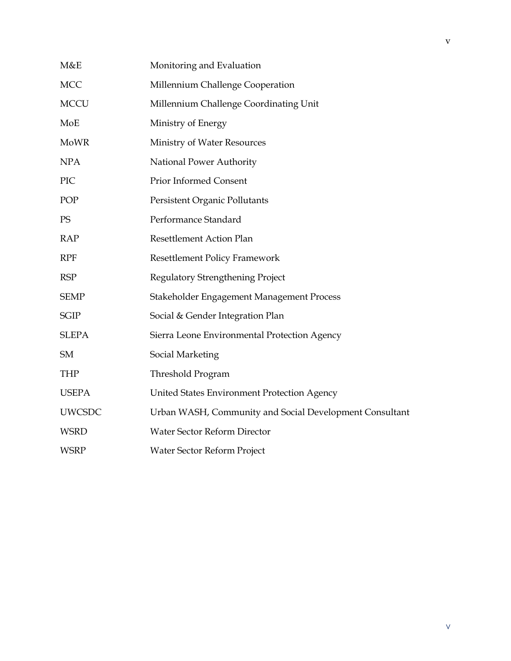| M&E           | Monitoring and Evaluation                               |  |  |
|---------------|---------------------------------------------------------|--|--|
| <b>MCC</b>    | Millennium Challenge Cooperation                        |  |  |
| <b>MCCU</b>   | Millennium Challenge Coordinating Unit                  |  |  |
| MoE           | Ministry of Energy                                      |  |  |
| <b>MoWR</b>   | Ministry of Water Resources                             |  |  |
| <b>NPA</b>    | National Power Authority                                |  |  |
| PIC           | Prior Informed Consent                                  |  |  |
| POP           | Persistent Organic Pollutants                           |  |  |
| PS            | Performance Standard                                    |  |  |
| <b>RAP</b>    | Resettlement Action Plan                                |  |  |
| <b>RPF</b>    | <b>Resettlement Policy Framework</b>                    |  |  |
| <b>RSP</b>    | Regulatory Strengthening Project                        |  |  |
| <b>SEMP</b>   | Stakeholder Engagement Management Process               |  |  |
| <b>SGIP</b>   | Social & Gender Integration Plan                        |  |  |
| <b>SLEPA</b>  | Sierra Leone Environmental Protection Agency            |  |  |
| SM            | Social Marketing                                        |  |  |
| <b>THP</b>    | Threshold Program                                       |  |  |
| <b>USEPA</b>  | United States Environment Protection Agency             |  |  |
| <b>UWCSDC</b> | Urban WASH, Community and Social Development Consultant |  |  |
| <b>WSRD</b>   | Water Sector Reform Director                            |  |  |
| <b>WSRP</b>   | Water Sector Reform Project                             |  |  |
|               |                                                         |  |  |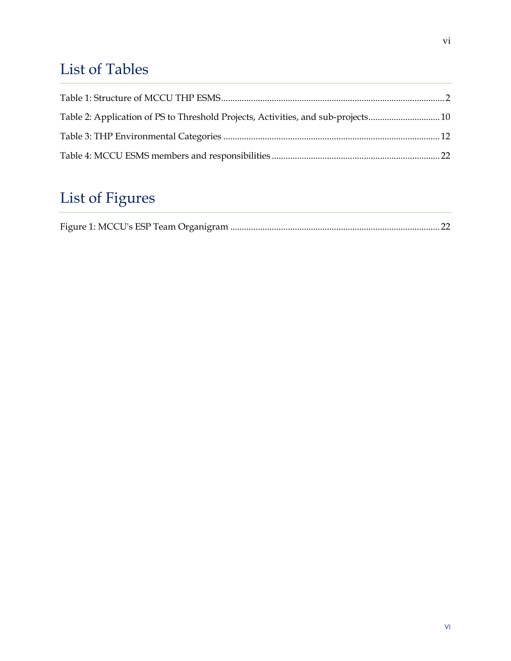## <span id="page-6-0"></span>List of Tables

| Table 2: Application of PS to Threshold Projects, Activities, and sub-projects 10 |  |
|-----------------------------------------------------------------------------------|--|
|                                                                                   |  |
|                                                                                   |  |

## <span id="page-6-1"></span>List of Figures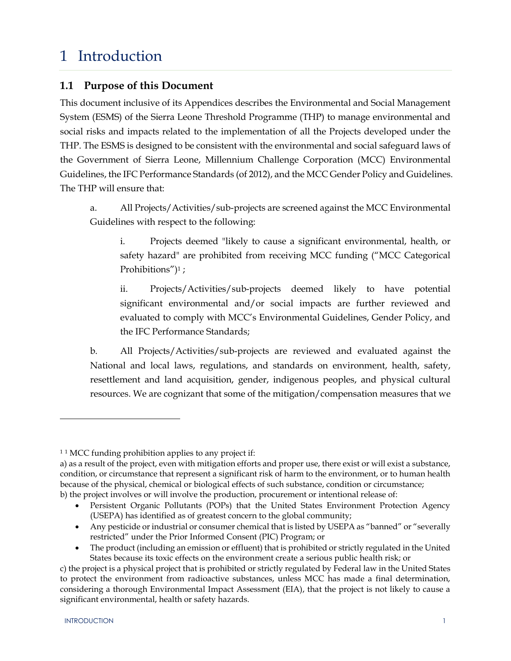## <span id="page-7-0"></span>1 Introduction

#### <span id="page-7-1"></span>**1.1 Purpose of this Document**

This document inclusive of its Appendices describes the Environmental and Social Management System (ESMS) of the Sierra Leone Threshold Programme (THP) to manage environmental and social risks and impacts related to the implementation of all the Projects developed under the THP. The ESMS is designed to be consistent with the environmental and social safeguard laws of the Government of Sierra Leone, Millennium Challenge Corporation (MCC) Environmental Guidelines, the IFC Performance Standards (of 2012), and the MCC Gender Policy and Guidelines. The THP will ensure that:

a. All Projects/Activities/sub-projects are screened against the MCC Environmental Guidelines with respect to the following:

i. Projects deemed "likely to cause a significant environmental, health, or safety hazard" are prohibited from receiving MCC funding ("MCC Categorical Prohibitions")<sup>1</sup>;

ii. Projects/Activities/sub-projects deemed likely to have potential significant environmental and/or social impacts are further reviewed and evaluated to comply with MCC's Environmental Guidelines, Gender Policy, and the IFC Performance Standards;

b. All Projects/Activities/sub-projects are reviewed and evaluated against the National and local laws, regulations, and standards on environment, health, safety, resettlement and land acquisition, gender, indigenous peoples, and physical cultural resources. We are cognizant that some of the mitigation/compensation measures that we

 $\overline{a}$ 

 $11$  MCC funding prohibition applies to any project if:

a) as a result of the project, even with mitigation efforts and proper use, there exist or will exist a substance, condition, or circumstance that represent a significant risk of harm to the environment, or to human health because of the physical, chemical or biological effects of such substance, condition or circumstance; b) the project involves or will involve the production, procurement or intentional release of:

Persistent Organic Pollutants (POPs) that the United States Environment Protection Agency (USEPA) has identified as of greatest concern to the global community;

Any pesticide or industrial or consumer chemical that is listed by USEPA as "banned" or "severally restricted" under the Prior Informed Consent (PIC) Program; or

The product (including an emission or effluent) that is prohibited or strictly regulated in the United States because its toxic effects on the environment create a serious public health risk; or

c) the project is a physical project that is prohibited or strictly regulated by Federal law in the United States to protect the environment from radioactive substances, unless MCC has made a final determination, considering a thorough Environmental Impact Assessment (EIA), that the project is not likely to cause a significant environmental, health or safety hazards.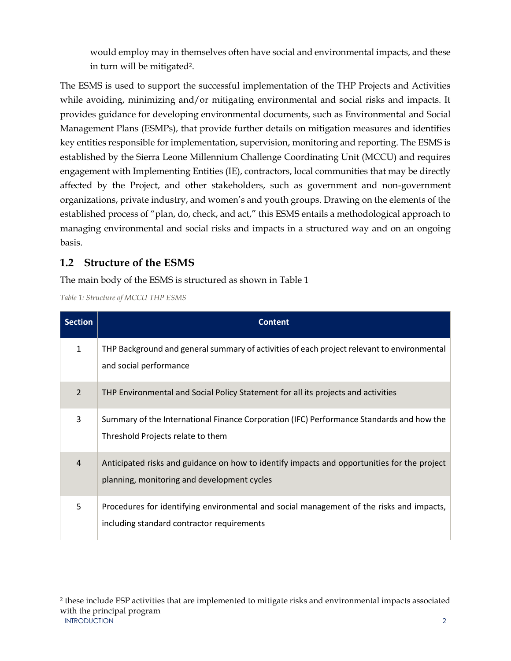would employ may in themselves often have social and environmental impacts, and these in turn will be mitigated2.

The ESMS is used to support the successful implementation of the THP Projects and Activities while avoiding, minimizing and/or mitigating environmental and social risks and impacts. It provides guidance for developing environmental documents, such as Environmental and Social Management Plans (ESMPs), that provide further details on mitigation measures and identifies key entities responsible for implementation, supervision, monitoring and reporting. The ESMS is established by the Sierra Leone Millennium Challenge Coordinating Unit (MCCU) and requires engagement with Implementing Entities (IE), contractors, local communities that may be directly affected by the Project, and other stakeholders, such as government and non-government organizations, private industry, and women's and youth groups. Drawing on the elements of the established process of "plan, do, check, and act," this ESMS entails a methodological approach to managing environmental and social risks and impacts in a structured way and on an ongoing basis.

#### <span id="page-8-0"></span>**1.2 Structure of the ESMS**

The main body of the ESMS is structured as shown in Table 1

<span id="page-8-1"></span>*Table 1: Structure of MCCU THP ESMS*

 $\overline{a}$ 

| <b>Section</b> | <b>Content</b>                                                                                                                             |
|----------------|--------------------------------------------------------------------------------------------------------------------------------------------|
| 1              | THP Background and general summary of activities of each project relevant to environmental<br>and social performance                       |
| 2              | THP Environmental and Social Policy Statement for all its projects and activities                                                          |
| 3              | Summary of the International Finance Corporation (IFC) Performance Standards and how the<br>Threshold Projects relate to them              |
| $\overline{4}$ | Anticipated risks and guidance on how to identify impacts and opportunities for the project<br>planning, monitoring and development cycles |
| 5              | Procedures for identifying environmental and social management of the risks and impacts,<br>including standard contractor requirements     |

INTRODUCTION 2 2 these include ESP activities that are implemented to mitigate risks and environmental impacts associated with the principal program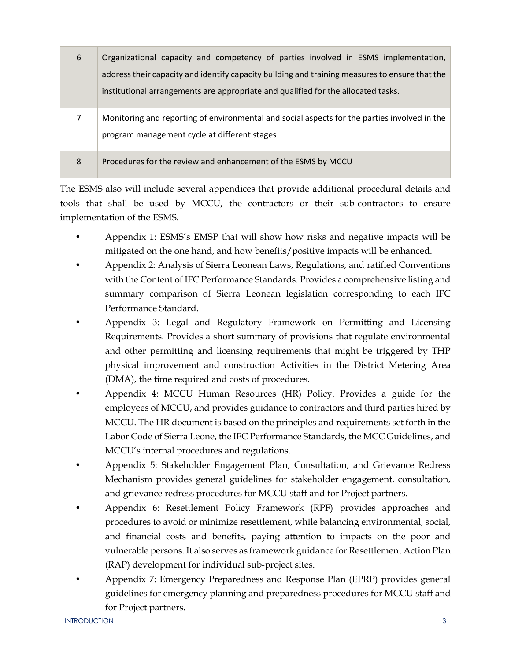| 6 | Organizational capacity and competency of parties involved in ESMS implementation,                                                           |
|---|----------------------------------------------------------------------------------------------------------------------------------------------|
|   | address their capacity and identify capacity building and training measures to ensure that the                                               |
|   | institutional arrangements are appropriate and qualified for the allocated tasks.                                                            |
| 7 | Monitoring and reporting of environmental and social aspects for the parties involved in the<br>program management cycle at different stages |
| 8 | Procedures for the review and enhancement of the ESMS by MCCU                                                                                |

The ESMS also will include several appendices that provide additional procedural details and tools that shall be used by MCCU, the contractors or their sub-contractors to ensure implementation of the ESMS.

- Appendix 1: ESMS's EMSP that will show how risks and negative impacts will be mitigated on the one hand, and how benefits/positive impacts will be enhanced.
- Appendix 2: Analysis of Sierra Leonean Laws, Regulations, and ratified Conventions with the Content of IFC Performance Standards. Provides a comprehensive listing and summary comparison of Sierra Leonean legislation corresponding to each IFC Performance Standard.
- Appendix 3: Legal and Regulatory Framework on Permitting and Licensing Requirements. Provides a short summary of provisions that regulate environmental and other permitting and licensing requirements that might be triggered by THP physical improvement and construction Activities in the District Metering Area (DMA), the time required and costs of procedures.
- Appendix 4: MCCU Human Resources (HR) Policy. Provides a guide for the employees of MCCU, and provides guidance to contractors and third parties hired by MCCU. The HR document is based on the principles and requirements set forth in the Labor Code of Sierra Leone, the IFC Performance Standards, the MCC Guidelines, and MCCU's internal procedures and regulations.
- Appendix 5: Stakeholder Engagement Plan, Consultation, and Grievance Redress Mechanism provides general guidelines for stakeholder engagement, consultation, and grievance redress procedures for MCCU staff and for Project partners.
- Appendix 6: Resettlement Policy Framework (RPF) provides approaches and procedures to avoid or minimize resettlement, while balancing environmental, social, and financial costs and benefits, paying attention to impacts on the poor and vulnerable persons. It also serves as framework guidance for Resettlement Action Plan (RAP) development for individual sub-project sites.
- Appendix 7: Emergency Preparedness and Response Plan (EPRP) provides general guidelines for emergency planning and preparedness procedures for MCCU staff and for Project partners.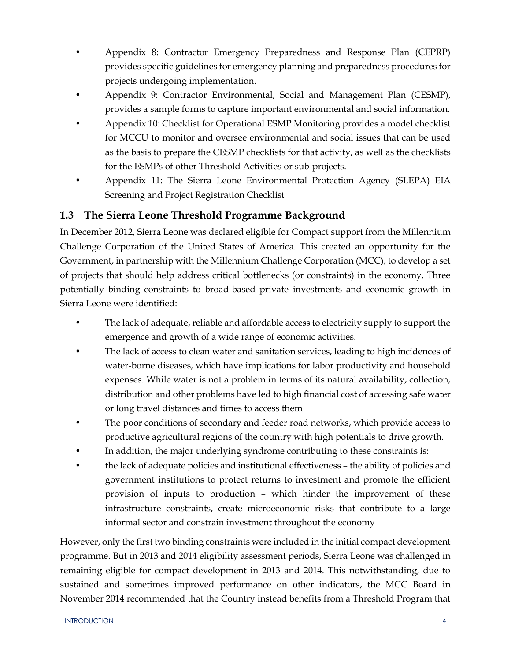- Appendix 8: Contractor Emergency Preparedness and Response Plan (CEPRP) provides specific guidelines for emergency planning and preparedness procedures for projects undergoing implementation.
- Appendix 9: Contractor Environmental, Social and Management Plan (CESMP), provides a sample forms to capture important environmental and social information.
- Appendix 10: Checklist for Operational ESMP Monitoring provides a model checklist for MCCU to monitor and oversee environmental and social issues that can be used as the basis to prepare the CESMP checklists for that activity, as well as the checklists for the ESMPs of other Threshold Activities or sub-projects.
- Appendix 11: The Sierra Leone Environmental Protection Agency (SLEPA) EIA Screening and Project Registration Checklist

#### <span id="page-10-0"></span>**1.3 The Sierra Leone Threshold Programme Background**

In December 2012, Sierra Leone was declared eligible for Compact support from the Millennium Challenge Corporation of the United States of America. This created an opportunity for the Government, in partnership with the Millennium Challenge Corporation (MCC), to develop a set of projects that should help address critical bottlenecks (or constraints) in the economy. Three potentially binding constraints to broad-based private investments and economic growth in Sierra Leone were identified:

- The lack of adequate, reliable and affordable access to electricity supply to support the emergence and growth of a wide range of economic activities.
- The lack of access to clean water and sanitation services, leading to high incidences of water-borne diseases, which have implications for labor productivity and household expenses. While water is not a problem in terms of its natural availability, collection, distribution and other problems have led to high financial cost of accessing safe water or long travel distances and times to access them
- The poor conditions of secondary and feeder road networks, which provide access to productive agricultural regions of the country with high potentials to drive growth.
- In addition, the major underlying syndrome contributing to these constraints is:
- the lack of adequate policies and institutional effectiveness the ability of policies and government institutions to protect returns to investment and promote the efficient provision of inputs to production – which hinder the improvement of these infrastructure constraints, create microeconomic risks that contribute to a large informal sector and constrain investment throughout the economy

However, only the first two binding constraints were included in the initial compact development programme. But in 2013 and 2014 eligibility assessment periods, Sierra Leone was challenged in remaining eligible for compact development in 2013 and 2014. This notwithstanding, due to sustained and sometimes improved performance on other indicators, the MCC Board in November 2014 recommended that the Country instead benefits from a Threshold Program that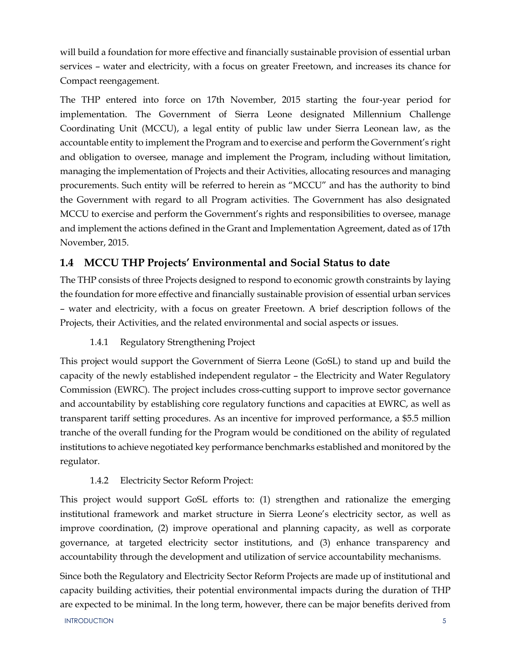will build a foundation for more effective and financially sustainable provision of essential urban services – water and electricity, with a focus on greater Freetown, and increases its chance for Compact reengagement.

The THP entered into force on 17th November, 2015 starting the four-year period for implementation. The Government of Sierra Leone designated Millennium Challenge Coordinating Unit (MCCU), a legal entity of public law under Sierra Leonean law, as the accountable entity to implement the Program and to exercise and perform the Government's right and obligation to oversee, manage and implement the Program, including without limitation, managing the implementation of Projects and their Activities, allocating resources and managing procurements. Such entity will be referred to herein as "MCCU" and has the authority to bind the Government with regard to all Program activities. The Government has also designated MCCU to exercise and perform the Government's rights and responsibilities to oversee, manage and implement the actions defined in the Grant and Implementation Agreement, dated as of 17th November, 2015.

#### <span id="page-11-0"></span>**1.4 MCCU THP Projects' Environmental and Social Status to date**

The THP consists of three Projects designed to respond to economic growth constraints by laying the foundation for more effective and financially sustainable provision of essential urban services – water and electricity, with a focus on greater Freetown. A brief description follows of the Projects, their Activities, and the related environmental and social aspects or issues.

1.4.1 Regulatory Strengthening Project

<span id="page-11-1"></span>This project would support the Government of Sierra Leone (GoSL) to stand up and build the capacity of the newly established independent regulator – the Electricity and Water Regulatory Commission (EWRC). The project includes cross-cutting support to improve sector governance and accountability by establishing core regulatory functions and capacities at EWRC, as well as transparent tariff setting procedures. As an incentive for improved performance, a \$5.5 million tranche of the overall funding for the Program would be conditioned on the ability of regulated institutions to achieve negotiated key performance benchmarks established and monitored by the regulator.

#### 1.4.2 Electricity Sector Reform Project:

<span id="page-11-2"></span>This project would support GoSL efforts to: (1) strengthen and rationalize the emerging institutional framework and market structure in Sierra Leone's electricity sector, as well as improve coordination, (2) improve operational and planning capacity, as well as corporate governance, at targeted electricity sector institutions, and (3) enhance transparency and accountability through the development and utilization of service accountability mechanisms.

Since both the Regulatory and Electricity Sector Reform Projects are made up of institutional and capacity building activities, their potential environmental impacts during the duration of THP are expected to be minimal. In the long term, however, there can be major benefits derived from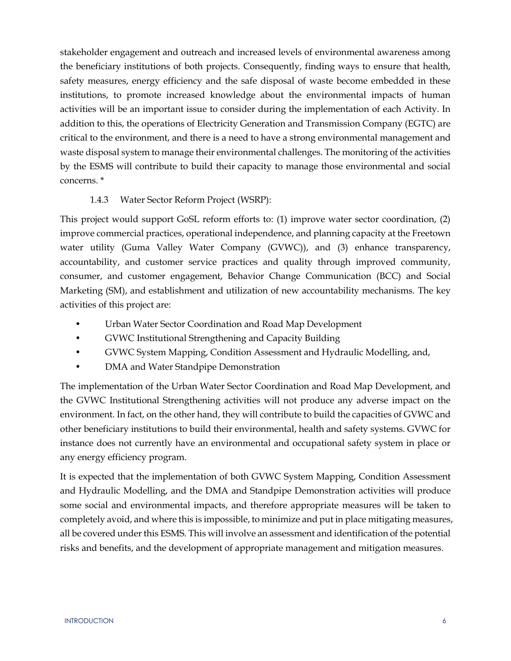stakeholder engagement and outreach and increased levels of environmental awareness among the beneficiary institutions of both projects. Consequently, finding ways to ensure that health, safety measures, energy efficiency and the safe disposal of waste become embedded in these institutions, to promote increased knowledge about the environmental impacts of human activities will be an important issue to consider during the implementation of each Activity. In addition to this, the operations of Electricity Generation and Transmission Company (EGTC) are critical to the environment, and there is a need to have a strong environmental management and waste disposal system to manage their environmental challenges. The monitoring of the activities by the ESMS will contribute to build their capacity to manage those environmental and social concerns. \*

#### 1.4.3 Water Sector Reform Project (WSRP):

<span id="page-12-0"></span>This project would support GoSL reform efforts to: (1) improve water sector coordination, (2) improve commercial practices, operational independence, and planning capacity at the Freetown water utility (Guma Valley Water Company (GVWC)), and (3) enhance transparency, accountability, and customer service practices and quality through improved community, consumer, and customer engagement, Behavior Change Communication (BCC) and Social Marketing (SM), and establishment and utilization of new accountability mechanisms. The key activities of this project are:

- Urban Water Sector Coordination and Road Map Development
- GVWC Institutional Strengthening and Capacity Building
- GVWC System Mapping, Condition Assessment and Hydraulic Modelling, and,
- DMA and Water Standpipe Demonstration

The implementation of the Urban Water Sector Coordination and Road Map Development, and the GVWC Institutional Strengthening activities will not produce any adverse impact on the environment. In fact, on the other hand, they will contribute to build the capacities of GVWC and other beneficiary institutions to build their environmental, health and safety systems. GVWC for instance does not currently have an environmental and occupational safety system in place or any energy efficiency program.

It is expected that the implementation of both GVWC System Mapping, Condition Assessment and Hydraulic Modelling, and the DMA and Standpipe Demonstration activities will produce some social and environmental impacts, and therefore appropriate measures will be taken to completely avoid, and where this is impossible, to minimize and put in place mitigating measures, all be covered under this ESMS. This will involve an assessment and identification of the potential risks and benefits, and the development of appropriate management and mitigation measures.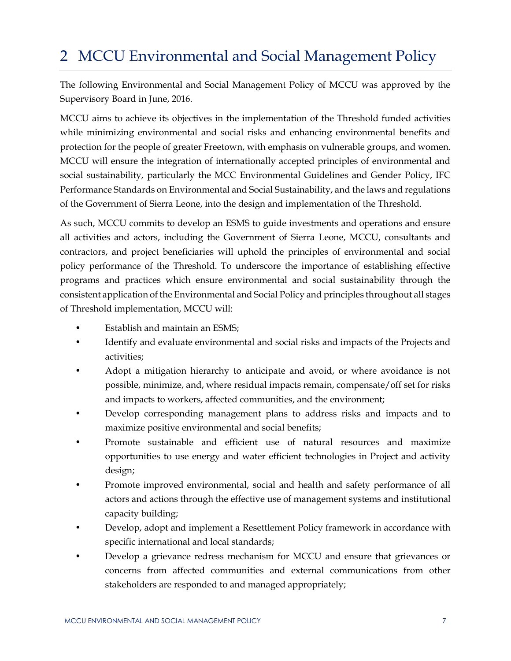## <span id="page-13-0"></span>2 MCCU Environmental and Social Management Policy

The following Environmental and Social Management Policy of MCCU was approved by the Supervisory Board in June, 2016.

MCCU aims to achieve its objectives in the implementation of the Threshold funded activities while minimizing environmental and social risks and enhancing environmental benefits and protection for the people of greater Freetown, with emphasis on vulnerable groups, and women. MCCU will ensure the integration of internationally accepted principles of environmental and social sustainability, particularly the MCC Environmental Guidelines and Gender Policy, IFC Performance Standards on Environmental and Social Sustainability, and the laws and regulations of the Government of Sierra Leone, into the design and implementation of the Threshold.

As such, MCCU commits to develop an ESMS to guide investments and operations and ensure all activities and actors, including the Government of Sierra Leone, MCCU, consultants and contractors, and project beneficiaries will uphold the principles of environmental and social policy performance of the Threshold. To underscore the importance of establishing effective programs and practices which ensure environmental and social sustainability through the consistent application of the Environmental and Social Policy and principles throughout all stages of Threshold implementation, MCCU will:

- Establish and maintain an ESMS;
- Identify and evaluate environmental and social risks and impacts of the Projects and activities;
- Adopt a mitigation hierarchy to anticipate and avoid, or where avoidance is not possible, minimize, and, where residual impacts remain, compensate/off set for risks and impacts to workers, affected communities, and the environment;
- Develop corresponding management plans to address risks and impacts and to maximize positive environmental and social benefits;
- Promote sustainable and efficient use of natural resources and maximize opportunities to use energy and water efficient technologies in Project and activity design;
- Promote improved environmental, social and health and safety performance of all actors and actions through the effective use of management systems and institutional capacity building;
- Develop, adopt and implement a Resettlement Policy framework in accordance with specific international and local standards;
- Develop a grievance redress mechanism for MCCU and ensure that grievances or concerns from affected communities and external communications from other stakeholders are responded to and managed appropriately;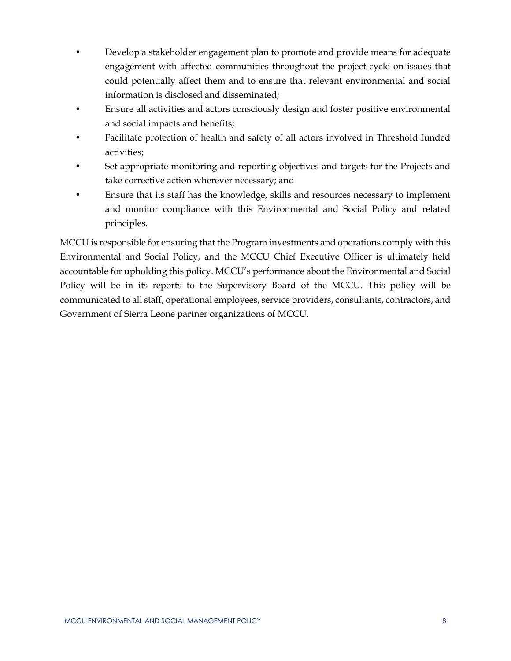- Develop a stakeholder engagement plan to promote and provide means for adequate engagement with affected communities throughout the project cycle on issues that could potentially affect them and to ensure that relevant environmental and social information is disclosed and disseminated;
- Ensure all activities and actors consciously design and foster positive environmental and social impacts and benefits;
- Facilitate protection of health and safety of all actors involved in Threshold funded activities;
- Set appropriate monitoring and reporting objectives and targets for the Projects and take corrective action wherever necessary; and
- Ensure that its staff has the knowledge, skills and resources necessary to implement and monitor compliance with this Environmental and Social Policy and related principles.

MCCU is responsible for ensuring that the Program investments and operations comply with this Environmental and Social Policy, and the MCCU Chief Executive Officer is ultimately held accountable for upholding this policy. MCCU's performance about the Environmental and Social Policy will be in its reports to the Supervisory Board of the MCCU. This policy will be communicated to all staff, operational employees, service providers, consultants, contractors, and Government of Sierra Leone partner organizations of MCCU.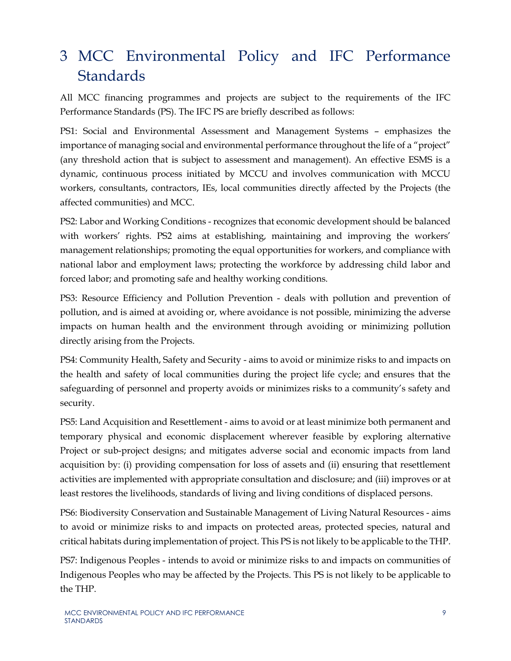## <span id="page-15-0"></span>3 MCC Environmental Policy and IFC Performance **Standards**

All MCC financing programmes and projects are subject to the requirements of the IFC Performance Standards (PS). The IFC PS are briefly described as follows:

PS1: Social and Environmental Assessment and Management Systems – emphasizes the importance of managing social and environmental performance throughout the life of a "project" (any threshold action that is subject to assessment and management). An effective ESMS is a dynamic, continuous process initiated by MCCU and involves communication with MCCU workers, consultants, contractors, IEs, local communities directly affected by the Projects (the affected communities) and MCC.

PS2: Labor and Working Conditions - recognizes that economic development should be balanced with workers' rights. PS2 aims at establishing, maintaining and improving the workers' management relationships; promoting the equal opportunities for workers, and compliance with national labor and employment laws; protecting the workforce by addressing child labor and forced labor; and promoting safe and healthy working conditions.

PS3: Resource Efficiency and Pollution Prevention - deals with pollution and prevention of pollution, and is aimed at avoiding or, where avoidance is not possible, minimizing the adverse impacts on human health and the environment through avoiding or minimizing pollution directly arising from the Projects.

PS4: Community Health, Safety and Security - aims to avoid or minimize risks to and impacts on the health and safety of local communities during the project life cycle; and ensures that the safeguarding of personnel and property avoids or minimizes risks to a community's safety and security.

PS5: Land Acquisition and Resettlement - aims to avoid or at least minimize both permanent and temporary physical and economic displacement wherever feasible by exploring alternative Project or sub-project designs; and mitigates adverse social and economic impacts from land acquisition by: (i) providing compensation for loss of assets and (ii) ensuring that resettlement activities are implemented with appropriate consultation and disclosure; and (iii) improves or at least restores the livelihoods, standards of living and living conditions of displaced persons.

PS6: Biodiversity Conservation and Sustainable Management of Living Natural Resources - aims to avoid or minimize risks to and impacts on protected areas, protected species, natural and critical habitats during implementation of project. This PS is not likely to be applicable to the THP.

PS7: Indigenous Peoples - intends to avoid or minimize risks to and impacts on communities of Indigenous Peoples who may be affected by the Projects. This PS is not likely to be applicable to the THP.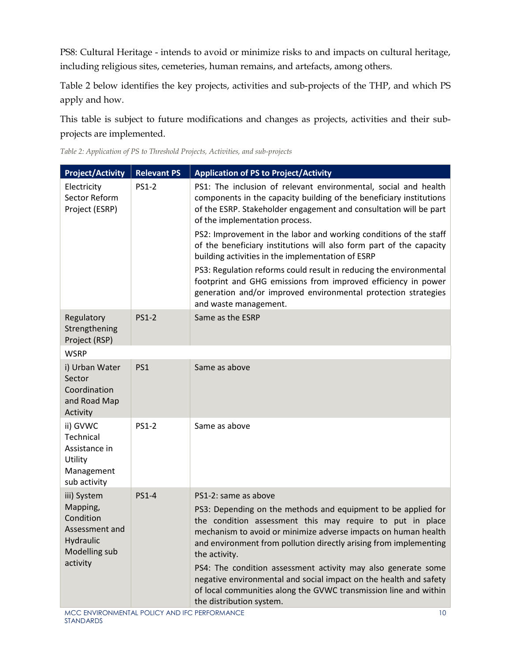PS8: Cultural Heritage - intends to avoid or minimize risks to and impacts on cultural heritage, including religious sites, cemeteries, human remains, and artefacts, among others.

Table 2 below identifies the key projects, activities and sub-projects of the THP, and which PS apply and how.

This table is subject to future modifications and changes as projects, activities and their subprojects are implemented.

| <b>Project/Activity</b>                                                           | <b>Relevant PS</b> | <b>Application of PS to Project/Activity</b>                                                                                                                                                                                                                                                                                                                                                                                                                                                                             |  |
|-----------------------------------------------------------------------------------|--------------------|--------------------------------------------------------------------------------------------------------------------------------------------------------------------------------------------------------------------------------------------------------------------------------------------------------------------------------------------------------------------------------------------------------------------------------------------------------------------------------------------------------------------------|--|
| Electricity<br>Sector Reform<br>Project (ESRP)                                    | <b>PS1-2</b>       | PS1: The inclusion of relevant environmental, social and health<br>components in the capacity building of the beneficiary institutions<br>of the ESRP. Stakeholder engagement and consultation will be part<br>of the implementation process.                                                                                                                                                                                                                                                                            |  |
|                                                                                   |                    | PS2: Improvement in the labor and working conditions of the staff<br>of the beneficiary institutions will also form part of the capacity<br>building activities in the implementation of ESRP                                                                                                                                                                                                                                                                                                                            |  |
|                                                                                   |                    | PS3: Regulation reforms could result in reducing the environmental<br>footprint and GHG emissions from improved efficiency in power<br>generation and/or improved environmental protection strategies<br>and waste management.                                                                                                                                                                                                                                                                                           |  |
| Regulatory<br>Strengthening<br>Project (RSP)                                      | <b>PS1-2</b>       | Same as the ESRP                                                                                                                                                                                                                                                                                                                                                                                                                                                                                                         |  |
| <b>WSRP</b>                                                                       |                    |                                                                                                                                                                                                                                                                                                                                                                                                                                                                                                                          |  |
| i) Urban Water<br>Sector<br>Coordination<br>and Road Map<br>Activity              | PS1                | Same as above                                                                                                                                                                                                                                                                                                                                                                                                                                                                                                            |  |
| ii) GVWC<br>Technical<br>Assistance in<br>Utility<br>Management<br>sub activity   | <b>PS1-2</b>       | Same as above                                                                                                                                                                                                                                                                                                                                                                                                                                                                                                            |  |
| iii) System                                                                       | <b>PS1-4</b>       | PS1-2: same as above                                                                                                                                                                                                                                                                                                                                                                                                                                                                                                     |  |
| Mapping,<br>Condition<br>Assessment and<br>Hydraulic<br>Modelling sub<br>activity |                    | PS3: Depending on the methods and equipment to be applied for<br>the condition assessment this may require to put in place<br>mechanism to avoid or minimize adverse impacts on human health<br>and environment from pollution directly arising from implementing<br>the activity.<br>PS4: The condition assessment activity may also generate some<br>negative environmental and social impact on the health and safety<br>of local communities along the GVWC transmission line and within<br>the distribution system. |  |

<span id="page-16-0"></span>*Table 2: Application of PS to Threshold Projects, Activities, and sub-projects*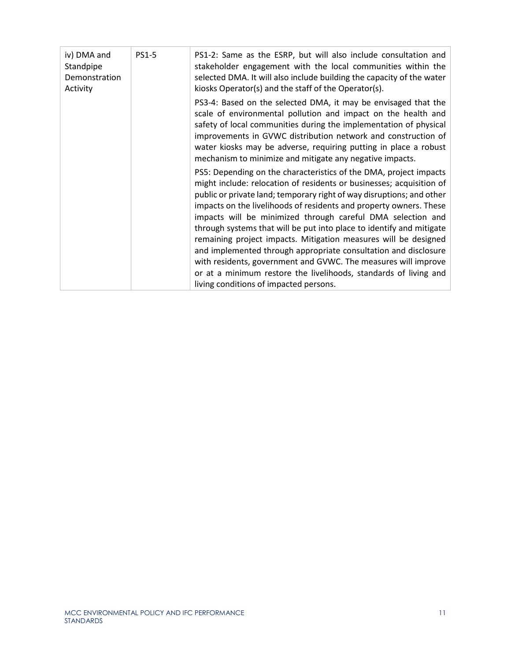| iv) DMA and<br>Standpipe<br>Demonstration<br>Activity | <b>PS1-5</b> | PS1-2: Same as the ESRP, but will also include consultation and<br>stakeholder engagement with the local communities within the<br>selected DMA. It will also include building the capacity of the water<br>kiosks Operator(s) and the staff of the Operator(s).                                                                                                                                                                                                                                                                                                                                                                                                                                                                                      |
|-------------------------------------------------------|--------------|-------------------------------------------------------------------------------------------------------------------------------------------------------------------------------------------------------------------------------------------------------------------------------------------------------------------------------------------------------------------------------------------------------------------------------------------------------------------------------------------------------------------------------------------------------------------------------------------------------------------------------------------------------------------------------------------------------------------------------------------------------|
|                                                       |              | PS3-4: Based on the selected DMA, it may be envisaged that the<br>scale of environmental pollution and impact on the health and<br>safety of local communities during the implementation of physical<br>improvements in GVWC distribution network and construction of<br>water kiosks may be adverse, requiring putting in place a robust<br>mechanism to minimize and mitigate any negative impacts.                                                                                                                                                                                                                                                                                                                                                 |
|                                                       |              | PS5: Depending on the characteristics of the DMA, project impacts<br>might include: relocation of residents or businesses; acquisition of<br>public or private land; temporary right of way disruptions; and other<br>impacts on the livelihoods of residents and property owners. These<br>impacts will be minimized through careful DMA selection and<br>through systems that will be put into place to identify and mitigate<br>remaining project impacts. Mitigation measures will be designed<br>and implemented through appropriate consultation and disclosure<br>with residents, government and GVWC. The measures will improve<br>or at a minimum restore the livelihoods, standards of living and<br>living conditions of impacted persons. |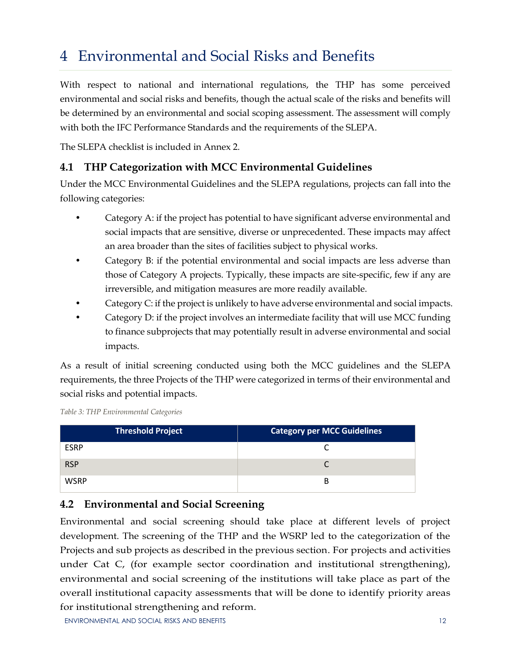## <span id="page-18-0"></span>4 Environmental and Social Risks and Benefits

With respect to national and international regulations, the THP has some perceived environmental and social risks and benefits, though the actual scale of the risks and benefits will be determined by an environmental and social scoping assessment. The assessment will comply with both the IFC Performance Standards and the requirements of the SLEPA.

The SLEPA checklist is included in Annex 2.

#### <span id="page-18-1"></span>**4.1 THP Categorization with MCC Environmental Guidelines**

Under the MCC Environmental Guidelines and the SLEPA regulations, projects can fall into the following categories:

- Category A: if the project has potential to have significant adverse environmental and social impacts that are sensitive, diverse or unprecedented. These impacts may affect an area broader than the sites of facilities subject to physical works.
- Category B: if the potential environmental and social impacts are less adverse than those of Category A projects. Typically, these impacts are site-specific, few if any are irreversible, and mitigation measures are more readily available.
- Category C: if the project is unlikely to have adverse environmental and social impacts.
- Category D: if the project involves an intermediate facility that will use MCC funding to finance subprojects that may potentially result in adverse environmental and social impacts.

As a result of initial screening conducted using both the MCC guidelines and the SLEPA requirements, the three Projects of the THP were categorized in terms of their environmental and social risks and potential impacts.

<span id="page-18-3"></span>

|  | Table 3: THP Environmental Categories |  |
|--|---------------------------------------|--|
|--|---------------------------------------|--|

| <b>Threshold Project</b> | <b>Category per MCC Guidelines</b> |
|--------------------------|------------------------------------|
| <b>ESRP</b>              |                                    |
| <b>RSP</b>               |                                    |
| <b>WSRP</b>              | В                                  |

#### <span id="page-18-2"></span>**4.2 Environmental and Social Screening**

Environmental and social screening should take place at different levels of project development. The screening of the THP and the WSRP led to the categorization of the Projects and sub projects as described in the previous section. For projects and activities under Cat C, (for example sector coordination and institutional strengthening), environmental and social screening of the institutions will take place as part of the overall institutional capacity assessments that will be done to identify priority areas for institutional strengthening and reform.

ENVIRONMENTAL AND SOCIAL RISKS AND BENEFITS 12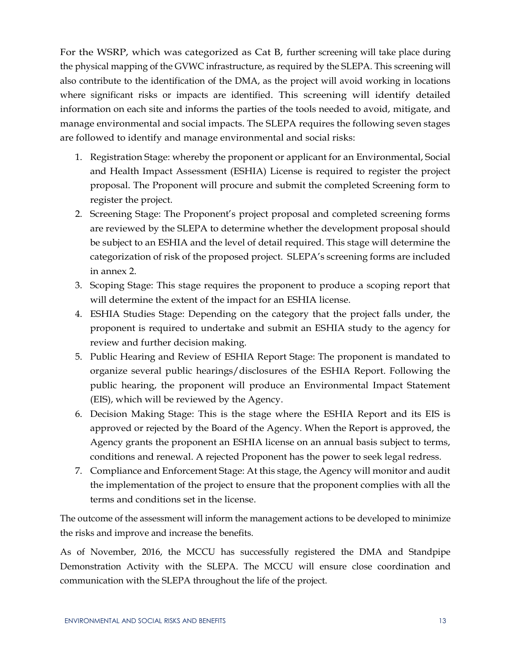For the WSRP, which was categorized as Cat B, further screening will take place during the physical mapping of the GVWC infrastructure, as required by the SLEPA. This screening will also contribute to the identification of the DMA, as the project will avoid working in locations where significant risks or impacts are identified. This screening will identify detailed information on each site and informs the parties of the tools needed to avoid, mitigate, and manage environmental and social impacts. The SLEPA requires the following seven stages are followed to identify and manage environmental and social risks:

- 1. Registration Stage: whereby the proponent or applicant for an Environmental, Social and Health Impact Assessment (ESHIA) License is required to register the project proposal. The Proponent will procure and submit the completed Screening form to register the project.
- 2. Screening Stage: The Proponent's project proposal and completed screening forms are reviewed by the SLEPA to determine whether the development proposal should be subject to an ESHIA and the level of detail required. This stage will determine the categorization of risk of the proposed project. SLEPA's screening forms are included in annex 2.
- 3. Scoping Stage: This stage requires the proponent to produce a scoping report that will determine the extent of the impact for an ESHIA license.
- 4. ESHIA Studies Stage: Depending on the category that the project falls under, the proponent is required to undertake and submit an ESHIA study to the agency for review and further decision making.
- 5. Public Hearing and Review of ESHIA Report Stage: The proponent is mandated to organize several public hearings/disclosures of the ESHIA Report. Following the public hearing, the proponent will produce an Environmental Impact Statement (EIS), which will be reviewed by the Agency.
- 6. Decision Making Stage: This is the stage where the ESHIA Report and its EIS is approved or rejected by the Board of the Agency. When the Report is approved, the Agency grants the proponent an ESHIA license on an annual basis subject to terms, conditions and renewal. A rejected Proponent has the power to seek legal redress.
- 7. Compliance and Enforcement Stage: At this stage, the Agency will monitor and audit the implementation of the project to ensure that the proponent complies with all the terms and conditions set in the license.

The outcome of the assessment will inform the management actions to be developed to minimize the risks and improve and increase the benefits.

As of November, 2016, the MCCU has successfully registered the DMA and Standpipe Demonstration Activity with the SLEPA. The MCCU will ensure close coordination and communication with the SLEPA throughout the life of the project.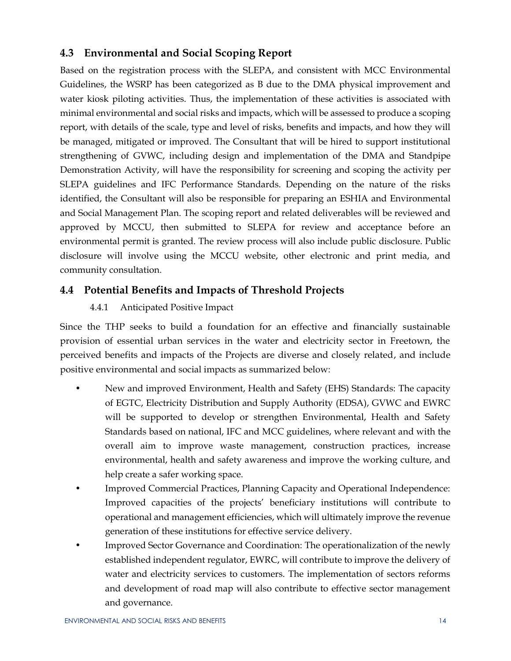#### <span id="page-20-0"></span>**4.3 Environmental and Social Scoping Report**

Based on the registration process with the SLEPA, and consistent with MCC Environmental Guidelines, the WSRP has been categorized as B due to the DMA physical improvement and water kiosk piloting activities. Thus, the implementation of these activities is associated with minimal environmental and social risks and impacts, which will be assessed to produce a scoping report, with details of the scale, type and level of risks, benefits and impacts, and how they will be managed, mitigated or improved. The Consultant that will be hired to support institutional strengthening of GVWC, including design and implementation of the DMA and Standpipe Demonstration Activity, will have the responsibility for screening and scoping the activity per SLEPA guidelines and IFC Performance Standards. Depending on the nature of the risks identified, the Consultant will also be responsible for preparing an ESHIA and Environmental and Social Management Plan. The scoping report and related deliverables will be reviewed and approved by MCCU, then submitted to SLEPA for review and acceptance before an environmental permit is granted. The review process will also include public disclosure. Public disclosure will involve using the MCCU website, other electronic and print media, and community consultation.

#### <span id="page-20-2"></span><span id="page-20-1"></span>**4.4 Potential Benefits and Impacts of Threshold Projects**

#### 4.4.1 Anticipated Positive Impact

Since the THP seeks to build a foundation for an effective and financially sustainable provision of essential urban services in the water and electricity sector in Freetown, the perceived benefits and impacts of the Projects are diverse and closely related, and include positive environmental and social impacts as summarized below:

- New and improved Environment, Health and Safety (EHS) Standards: The capacity of EGTC, Electricity Distribution and Supply Authority (EDSA), GVWC and EWRC will be supported to develop or strengthen Environmental, Health and Safety Standards based on national, IFC and MCC guidelines, where relevant and with the overall aim to improve waste management, construction practices, increase environmental, health and safety awareness and improve the working culture, and help create a safer working space.
- Improved Commercial Practices, Planning Capacity and Operational Independence: Improved capacities of the projects' beneficiary institutions will contribute to operational and management efficiencies, which will ultimately improve the revenue generation of these institutions for effective service delivery.
- Improved Sector Governance and Coordination: The operationalization of the newly established independent regulator, EWRC, will contribute to improve the delivery of water and electricity services to customers. The implementation of sectors reforms and development of road map will also contribute to effective sector management and governance.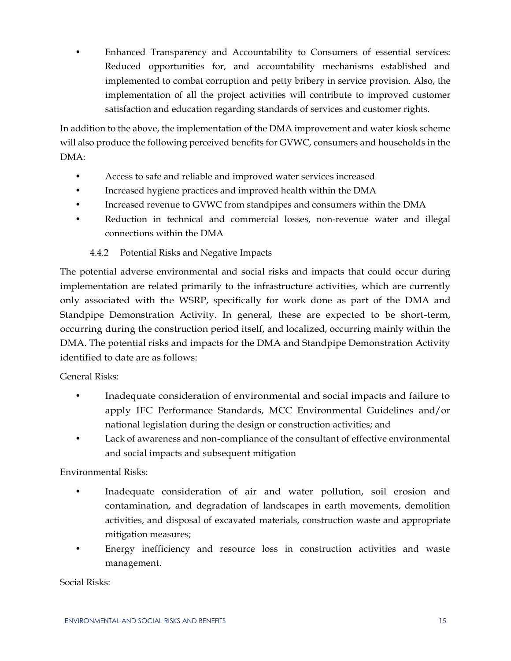• Enhanced Transparency and Accountability to Consumers of essential services: Reduced opportunities for, and accountability mechanisms established and implemented to combat corruption and petty bribery in service provision. Also, the implementation of all the project activities will contribute to improved customer satisfaction and education regarding standards of services and customer rights.

In addition to the above, the implementation of the DMA improvement and water kiosk scheme will also produce the following perceived benefits for GVWC, consumers and households in the DMA:

- Access to safe and reliable and improved water services increased
- Increased hygiene practices and improved health within the DMA
- Increased revenue to GVWC from standpipes and consumers within the DMA
- Reduction in technical and commercial losses, non-revenue water and illegal connections within the DMA

#### 4.4.2 Potential Risks and Negative Impacts

<span id="page-21-0"></span>The potential adverse environmental and social risks and impacts that could occur during implementation are related primarily to the infrastructure activities, which are currently only associated with the WSRP, specifically for work done as part of the DMA and Standpipe Demonstration Activity. In general, these are expected to be short-term, occurring during the construction period itself, and localized, occurring mainly within the DMA. The potential risks and impacts for the DMA and Standpipe Demonstration Activity identified to date are as follows:

#### General Risks:

- Inadequate consideration of environmental and social impacts and failure to apply IFC Performance Standards, MCC Environmental Guidelines and/or national legislation during the design or construction activities; and
- Lack of awareness and non-compliance of the consultant of effective environmental and social impacts and subsequent mitigation

Environmental Risks:

- Inadequate consideration of air and water pollution, soil erosion and contamination, and degradation of landscapes in earth movements, demolition activities, and disposal of excavated materials, construction waste and appropriate mitigation measures;
- Energy inefficiency and resource loss in construction activities and waste management.

Social Risks: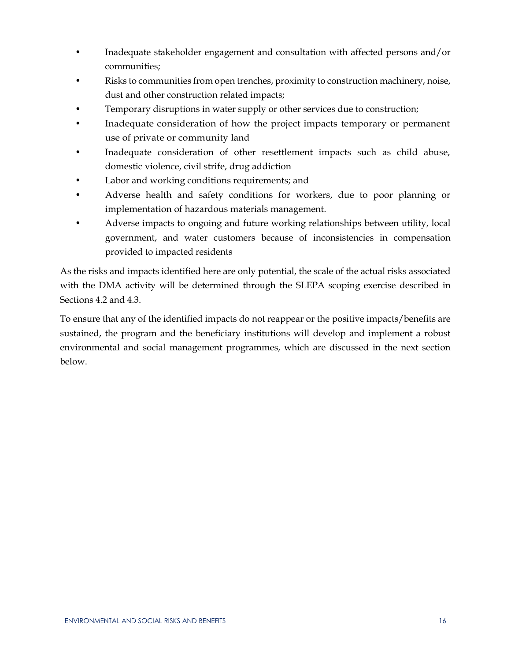- Inadequate stakeholder engagement and consultation with affected persons and/or communities;
- Risks to communities from open trenches, proximity to construction machinery, noise, dust and other construction related impacts;
- Temporary disruptions in water supply or other services due to construction;
- Inadequate consideration of how the project impacts temporary or permanent use of private or community land
- Inadequate consideration of other resettlement impacts such as child abuse, domestic violence, civil strife, drug addiction
- Labor and working conditions requirements; and
- Adverse health and safety conditions for workers, due to poor planning or implementation of hazardous materials management.
- Adverse impacts to ongoing and future working relationships between utility, local government, and water customers because of inconsistencies in compensation provided to impacted residents

As the risks and impacts identified here are only potential, the scale of the actual risks associated with the DMA activity will be determined through the SLEPA scoping exercise described in Sections 4.2 and 4.3.

To ensure that any of the identified impacts do not reappear or the positive impacts/benefits are sustained, the program and the beneficiary institutions will develop and implement a robust environmental and social management programmes, which are discussed in the next section below.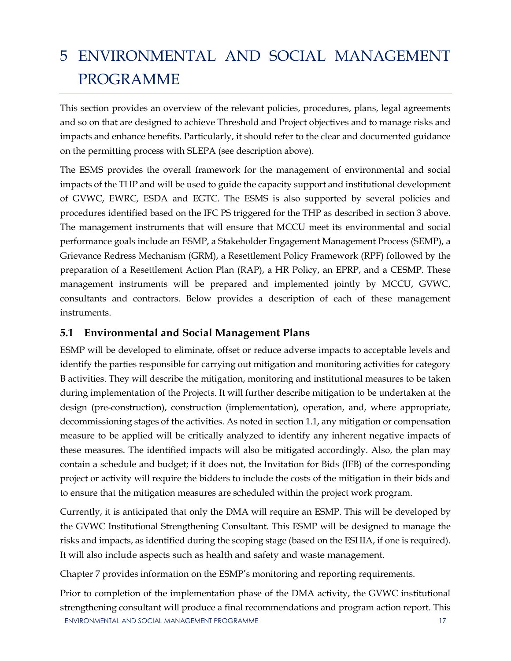## <span id="page-23-0"></span>5 ENVIRONMENTAL AND SOCIAL MANAGEMENT PROGRAMME

This section provides an overview of the relevant policies, procedures, plans, legal agreements and so on that are designed to achieve Threshold and Project objectives and to manage risks and impacts and enhance benefits. Particularly, it should refer to the clear and documented guidance on the permitting process with SLEPA (see description above).

The ESMS provides the overall framework for the management of environmental and social impacts of the THP and will be used to guide the capacity support and institutional development of GVWC, EWRC, ESDA and EGTC. The ESMS is also supported by several policies and procedures identified based on the IFC PS triggered for the THP as described in section 3 above. The management instruments that will ensure that MCCU meet its environmental and social performance goals include an ESMP, a Stakeholder Engagement Management Process (SEMP), a Grievance Redress Mechanism (GRM), a Resettlement Policy Framework (RPF) followed by the preparation of a Resettlement Action Plan (RAP), a HR Policy, an EPRP, and a CESMP. These management instruments will be prepared and implemented jointly by MCCU, GVWC, consultants and contractors. Below provides a description of each of these management instruments.

#### <span id="page-23-1"></span>**5.1 Environmental and Social Management Plans**

ESMP will be developed to eliminate, offset or reduce adverse impacts to acceptable levels and identify the parties responsible for carrying out mitigation and monitoring activities for category B activities. They will describe the mitigation, monitoring and institutional measures to be taken during implementation of the Projects. It will further describe mitigation to be undertaken at the design (pre-construction), construction (implementation), operation, and, where appropriate, decommissioning stages of the activities. As noted in section 1.1, any mitigation or compensation measure to be applied will be critically analyzed to identify any inherent negative impacts of these measures. The identified impacts will also be mitigated accordingly. Also, the plan may contain a schedule and budget; if it does not, the Invitation for Bids (IFB) of the corresponding project or activity will require the bidders to include the costs of the mitigation in their bids and to ensure that the mitigation measures are scheduled within the project work program.

Currently, it is anticipated that only the DMA will require an ESMP. This will be developed by the GVWC Institutional Strengthening Consultant. This ESMP will be designed to manage the risks and impacts, as identified during the scoping stage (based on the ESHIA, if one is required). It will also include aspects such as health and safety and waste management.

Chapter 7 provides information on the ESMP's monitoring and reporting requirements.

ENVIRONMENTAL AND SOCIAL MANAGEMENT PROGRAMME 17 Prior to completion of the implementation phase of the DMA activity, the GVWC institutional strengthening consultant will produce a final recommendations and program action report. This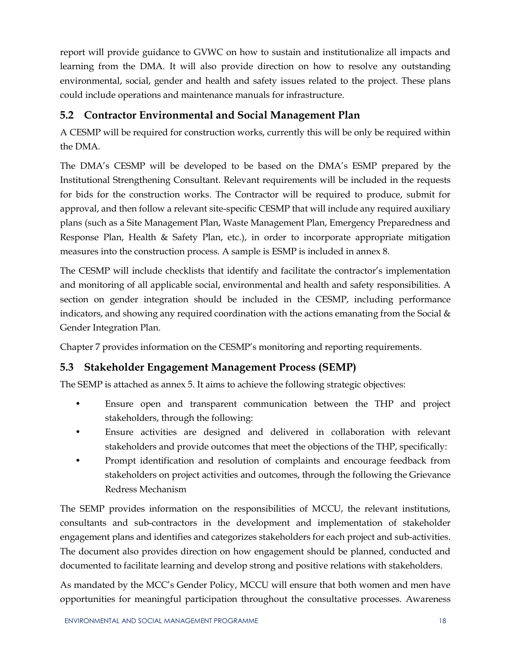report will provide guidance to GVWC on how to sustain and institutionalize all impacts and learning from the DMA. It will also provide direction on how to resolve any outstanding environmental, social, gender and health and safety issues related to the project. These plans could include operations and maintenance manuals for infrastructure.

#### <span id="page-24-0"></span>**5.2 Contractor Environmental and Social Management Plan**

A CESMP will be required for construction works, currently this will be only be required within the DMA.

The DMA's CESMP will be developed to be based on the DMA's ESMP prepared by the Institutional Strengthening Consultant. Relevant requirements will be included in the requests for bids for the construction works. The Contractor will be required to produce, submit for approval, and then follow a relevant site-specific CESMP that will include any required auxiliary plans (such as a Site Management Plan, Waste Management Plan, Emergency Preparedness and Response Plan, Health & Safety Plan, etc.), in order to incorporate appropriate mitigation measures into the construction process. A sample is ESMP is included in annex 8.

The CESMP will include checklists that identify and facilitate the contractor's implementation and monitoring of all applicable social, environmental and health and safety responsibilities. A section on gender integration should be included in the CESMP, including performance indicators, and showing any required coordination with the actions emanating from the Social  $\&$ Gender Integration Plan.

Chapter 7 provides information on the CESMP's monitoring and reporting requirements.

#### <span id="page-24-1"></span>**5.3 Stakeholder Engagement Management Process (SEMP)**

The SEMP is attached as annex 5. It aims to achieve the following strategic objectives:

- Ensure open and transparent communication between the THP and project stakeholders, through the following:
- Ensure activities are designed and delivered in collaboration with relevant stakeholders and provide outcomes that meet the objections of the THP, specifically:
- Prompt identification and resolution of complaints and encourage feedback from stakeholders on project activities and outcomes, through the following the Grievance Redress Mechanism

The SEMP provides information on the responsibilities of MCCU, the relevant institutions, consultants and sub-contractors in the development and implementation of stakeholder engagement plans and identifies and categorizes stakeholders for each project and sub-activities. The document also provides direction on how engagement should be planned, conducted and documented to facilitate learning and develop strong and positive relations with stakeholders.

As mandated by the MCC's Gender Policy, MCCU will ensure that both women and men have opportunities for meaningful participation throughout the consultative processes. Awareness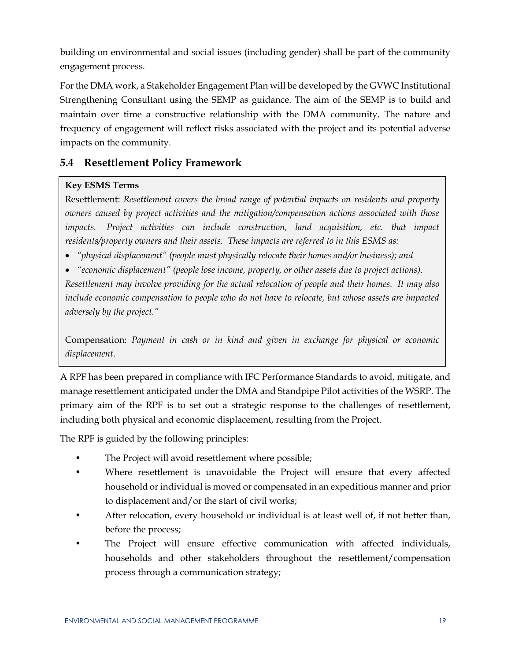building on environmental and social issues (including gender) shall be part of the community engagement process.

For the DMA work, a Stakeholder Engagement Plan will be developed by the GVWC Institutional Strengthening Consultant using the SEMP as guidance. The aim of the SEMP is to build and maintain over time a constructive relationship with the DMA community. The nature and frequency of engagement will reflect risks associated with the project and its potential adverse impacts on the community.

#### <span id="page-25-0"></span>**5.4 Resettlement Policy Framework**

#### **Key ESMS Terms**

Resettlement: *Resettlement covers the broad range of potential impacts on residents and property owners caused by project activities and the mitigation/compensation actions associated with those impacts. Project activities can include construction, land acquisition, etc. that impact residents/property owners and their assets. These impacts are referred to in this ESMS as:*

- *"physical displacement" (people must physically relocate their homes and/or business); and*
- *"economic displacement" (people lose income, property, or other assets due to project actions).*

*Resettlement may involve providing for the actual relocation of people and their homes. It may also include economic compensation to people who do not have to relocate, but whose assets are impacted adversely by the project."*

Compensation: *Payment in cash or in kind and given in exchange for physical or economic displacement.*

A RPF has been prepared in compliance with IFC Performance Standards to avoid, mitigate, and manage resettlement anticipated under the DMA and Standpipe Pilot activities of the WSRP. The primary aim of the RPF is to set out a strategic response to the challenges of resettlement, including both physical and economic displacement, resulting from the Project.

The RPF is guided by the following principles:

- The Project will avoid resettlement where possible;
- Where resettlement is unavoidable the Project will ensure that every affected household or individual is moved or compensated in an expeditious manner and prior to displacement and/or the start of civil works;
- After relocation, every household or individual is at least well of, if not better than, before the process;
- The Project will ensure effective communication with affected individuals, households and other stakeholders throughout the resettlement/compensation process through a communication strategy;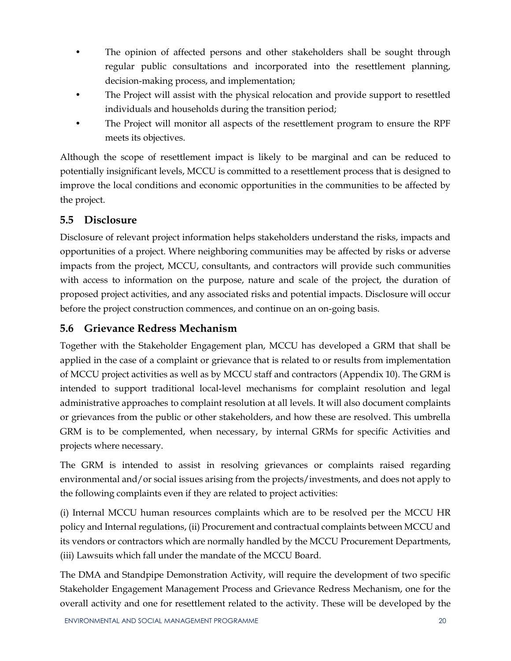- The opinion of affected persons and other stakeholders shall be sought through regular public consultations and incorporated into the resettlement planning, decision-making process, and implementation;
- The Project will assist with the physical relocation and provide support to resettled individuals and households during the transition period;
- The Project will monitor all aspects of the resettlement program to ensure the RPF meets its objectives.

Although the scope of resettlement impact is likely to be marginal and can be reduced to potentially insignificant levels, MCCU is committed to a resettlement process that is designed to improve the local conditions and economic opportunities in the communities to be affected by the project.

#### <span id="page-26-0"></span>**5.5 Disclosure**

Disclosure of relevant project information helps stakeholders understand the risks, impacts and opportunities of a project. Where neighboring communities may be affected by risks or adverse impacts from the project, MCCU, consultants, and contractors will provide such communities with access to information on the purpose, nature and scale of the project, the duration of proposed project activities, and any associated risks and potential impacts. Disclosure will occur before the project construction commences, and continue on an on-going basis.

#### <span id="page-26-1"></span>**5.6 Grievance Redress Mechanism**

Together with the Stakeholder Engagement plan, MCCU has developed a GRM that shall be applied in the case of a complaint or grievance that is related to or results from implementation of MCCU project activities as well as by MCCU staff and contractors (Appendix 10). The GRM is intended to support traditional local-level mechanisms for complaint resolution and legal administrative approaches to complaint resolution at all levels. It will also document complaints or grievances from the public or other stakeholders, and how these are resolved. This umbrella GRM is to be complemented, when necessary, by internal GRMs for specific Activities and projects where necessary.

The GRM is intended to assist in resolving grievances or complaints raised regarding environmental and/or social issues arising from the projects/investments, and does not apply to the following complaints even if they are related to project activities:

(i) Internal MCCU human resources complaints which are to be resolved per the MCCU HR policy and Internal regulations, (ii) Procurement and contractual complaints between MCCU and its vendors or contractors which are normally handled by the MCCU Procurement Departments, (iii) Lawsuits which fall under the mandate of the MCCU Board.

The DMA and Standpipe Demonstration Activity, will require the development of two specific Stakeholder Engagement Management Process and Grievance Redress Mechanism, one for the overall activity and one for resettlement related to the activity. These will be developed by the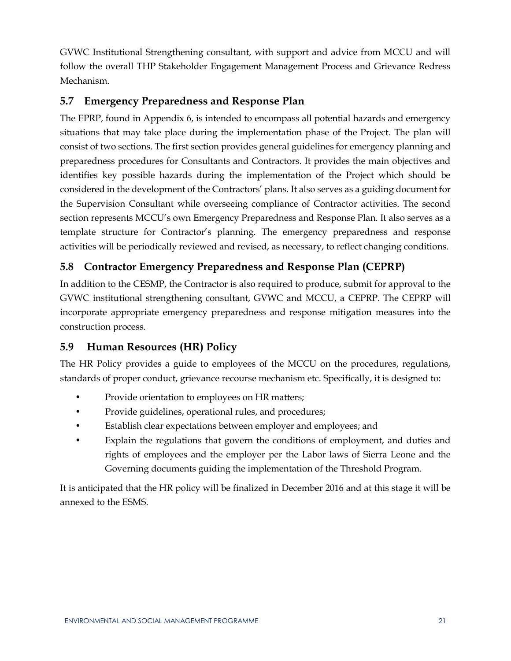GVWC Institutional Strengthening consultant, with support and advice from MCCU and will follow the overall THP Stakeholder Engagement Management Process and Grievance Redress Mechanism.

#### <span id="page-27-0"></span>**5.7 Emergency Preparedness and Response Plan**

The EPRP, found in Appendix 6, is intended to encompass all potential hazards and emergency situations that may take place during the implementation phase of the Project. The plan will consist of two sections. The first section provides general guidelines for emergency planning and preparedness procedures for Consultants and Contractors. It provides the main objectives and identifies key possible hazards during the implementation of the Project which should be considered in the development of the Contractors' plans. It also serves as a guiding document for the Supervision Consultant while overseeing compliance of Contractor activities. The second section represents MCCU's own Emergency Preparedness and Response Plan. It also serves as a template structure for Contractor's planning. The emergency preparedness and response activities will be periodically reviewed and revised, as necessary, to reflect changing conditions.

#### <span id="page-27-1"></span>**5.8 Contractor Emergency Preparedness and Response Plan (CEPRP)**

In addition to the CESMP, the Contractor is also required to produce, submit for approval to the GVWC institutional strengthening consultant, GVWC and MCCU, a CEPRP. The CEPRP will incorporate appropriate emergency preparedness and response mitigation measures into the construction process.

#### <span id="page-27-2"></span>**5.9 Human Resources (HR) Policy**

The HR Policy provides a guide to employees of the MCCU on the procedures, regulations, standards of proper conduct, grievance recourse mechanism etc. Specifically, it is designed to:

- Provide orientation to employees on HR matters;
- Provide guidelines, operational rules, and procedures;
- Establish clear expectations between employer and employees; and
- Explain the regulations that govern the conditions of employment, and duties and rights of employees and the employer per the Labor laws of Sierra Leone and the Governing documents guiding the implementation of the Threshold Program.

It is anticipated that the HR policy will be finalized in December 2016 and at this stage it will be annexed to the ESMS.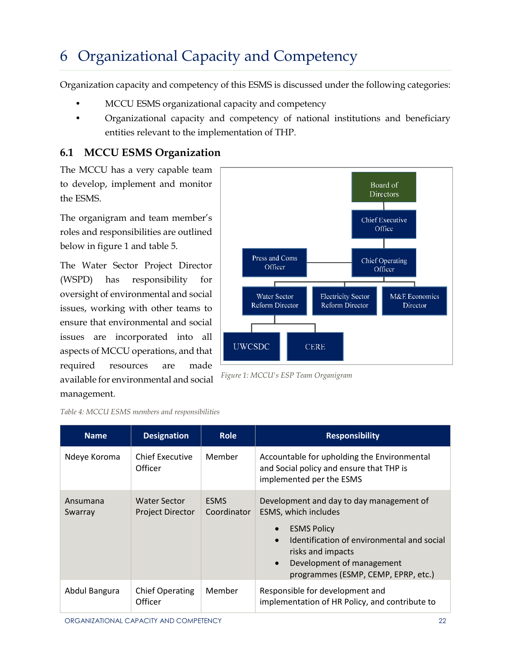## <span id="page-28-0"></span>6 Organizational Capacity and Competency

Organization capacity and competency of this ESMS is discussed under the following categories:

- MCCU ESMS organizational capacity and competency
- Organizational capacity and competency of national institutions and beneficiary entities relevant to the implementation of THP.

#### <span id="page-28-1"></span>**6.1 MCCU ESMS Organization**

The MCCU has a very capable team to develop, implement and monitor the ESMS.

The organigram and team member's roles and responsibilities are outlined below in figure 1 and table 5.

The Water Sector Project Director (WSPD) has responsibility for oversight of environmental and social issues, working with other teams to ensure that environmental and social issues are incorporated into all aspects of MCCU operations, and that required resources are made available for environmental and social management.

|                                               |                                                     | Board of<br>Directors                |
|-----------------------------------------------|-----------------------------------------------------|--------------------------------------|
|                                               |                                                     | <b>Chief Executive</b><br>Office     |
| Press and Coms<br>Officer                     |                                                     | <b>Chief Operating</b><br>Officer    |
| <b>Water Sector</b><br><b>Reform Director</b> | <b>Electricity Sector</b><br><b>Reform Director</b> | <b>M&amp;E</b> Economics<br>Director |
| <b>UWCSDC</b>                                 | <b>CERE</b>                                         |                                      |

<span id="page-28-2"></span>*Table 4: MCCU ESMS members and responsibilities*

| <b>Name</b>         | <b>Designation</b>                             | <b>Role</b>                | <b>Responsibility</b>                                                                                                                                                                                                                                   |
|---------------------|------------------------------------------------|----------------------------|---------------------------------------------------------------------------------------------------------------------------------------------------------------------------------------------------------------------------------------------------------|
| Ndeye Koroma        | Chief Executive<br>Officer                     | Member                     | Accountable for upholding the Environmental<br>and Social policy and ensure that THP is<br>implemented per the ESMS                                                                                                                                     |
| Ansumana<br>Swarray | <b>Water Sector</b><br><b>Project Director</b> | <b>ESMS</b><br>Coordinator | Development and day to day management of<br>ESMS, which includes<br><b>ESMS Policy</b><br>Identification of environmental and social<br>$\bullet$<br>risks and impacts<br>Development of management<br>$\bullet$<br>programmes (ESMP, CEMP, EPRP, etc.) |
| Abdul Bangura       | <b>Chief Operating</b><br>Officer              | Member                     | Responsible for development and<br>implementation of HR Policy, and contribute to                                                                                                                                                                       |

*Figure 1: MCCU's ESP Team Organigram*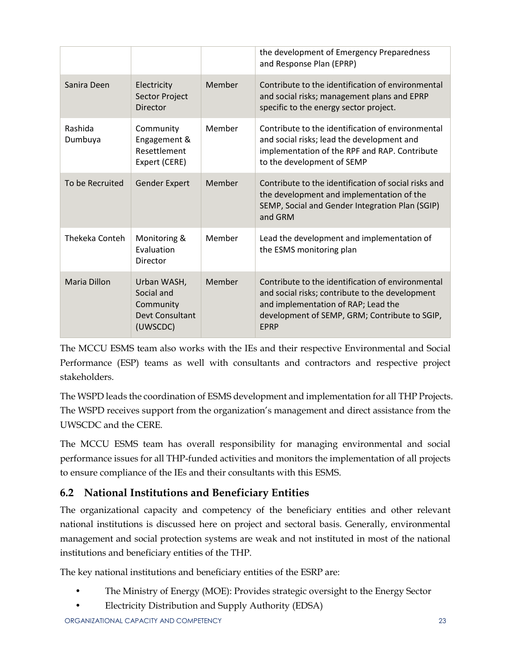|                    |                                                                       |        | the development of Emergency Preparedness<br>and Response Plan (EPRP)                                                                                                                                       |
|--------------------|-----------------------------------------------------------------------|--------|-------------------------------------------------------------------------------------------------------------------------------------------------------------------------------------------------------------|
| Sanira Deen        | Electricity<br>Sector Project<br><b>Director</b>                      | Member | Contribute to the identification of environmental<br>and social risks; management plans and EPRP<br>specific to the energy sector project.                                                                  |
| Rashida<br>Dumbuya | Community<br>Engagement &<br>Resettlement<br>Expert (CERE)            | Member | Contribute to the identification of environmental<br>and social risks; lead the development and<br>implementation of the RPF and RAP. Contribute<br>to the development of SEMP                              |
| To be Recruited    | <b>Gender Expert</b>                                                  | Member | Contribute to the identification of social risks and<br>the development and implementation of the<br>SEMP, Social and Gender Integration Plan (SGIP)<br>and GRM                                             |
| Thekeka Conteh     | Monitoring &<br>Evaluation<br>Director                                | Member | Lead the development and implementation of<br>the ESMS monitoring plan                                                                                                                                      |
| Maria Dillon       | Urban WASH,<br>Social and<br>Community<br>Devt Consultant<br>(UWSCDC) | Member | Contribute to the identification of environmental<br>and social risks; contribute to the development<br>and implementation of RAP; Lead the<br>development of SEMP, GRM; Contribute to SGIP,<br><b>EPRP</b> |

The MCCU ESMS team also works with the IEs and their respective Environmental and Social Performance (ESP) teams as well with consultants and contractors and respective project stakeholders.

The WSPD leads the coordination of ESMS development and implementation for all THP Projects. The WSPD receives support from the organization's management and direct assistance from the UWSCDC and the CERE.

The MCCU ESMS team has overall responsibility for managing environmental and social performance issues for all THP-funded activities and monitors the implementation of all projects to ensure compliance of the IEs and their consultants with this ESMS.

#### <span id="page-29-0"></span>**6.2 National Institutions and Beneficiary Entities**

The organizational capacity and competency of the beneficiary entities and other relevant national institutions is discussed here on project and sectoral basis. Generally, environmental management and social protection systems are weak and not instituted in most of the national institutions and beneficiary entities of the THP.

The key national institutions and beneficiary entities of the ESRP are:

- The Ministry of Energy (MOE): Provides strategic oversight to the Energy Sector
- Electricity Distribution and Supply Authority (EDSA)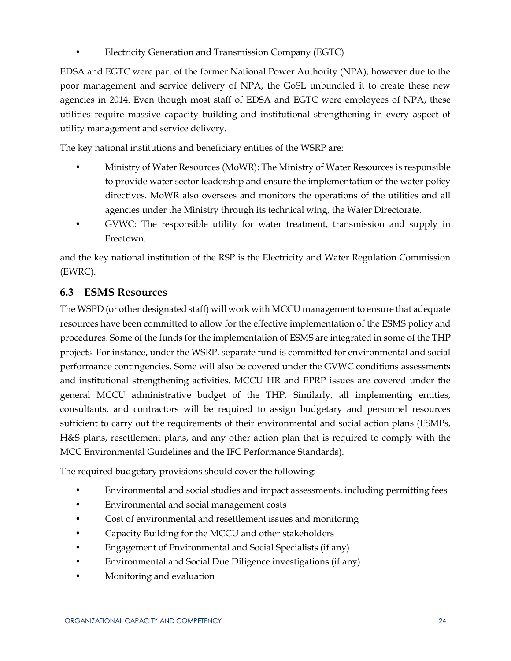• Electricity Generation and Transmission Company (EGTC)

EDSA and EGTC were part of the former National Power Authority (NPA), however due to the poor management and service delivery of NPA, the GoSL unbundled it to create these new agencies in 2014. Even though most staff of EDSA and EGTC were employees of NPA, these utilities require massive capacity building and institutional strengthening in every aspect of utility management and service delivery.

The key national institutions and beneficiary entities of the WSRP are:

- Ministry of Water Resources (MoWR): The Ministry of Water Resources is responsible to provide water sector leadership and ensure the implementation of the water policy directives. MoWR also oversees and monitors the operations of the utilities and all agencies under the Ministry through its technical wing, the Water Directorate.
- GVWC: The responsible utility for water treatment, transmission and supply in Freetown.

and the key national institution of the RSP is the Electricity and Water Regulation Commission (EWRC).

#### <span id="page-30-0"></span>**6.3 ESMS Resources**

The WSPD (or other designated staff) will work with MCCU management to ensure that adequate resources have been committed to allow for the effective implementation of the ESMS policy and procedures. Some of the funds for the implementation of ESMS are integrated in some of the THP projects. For instance, under the WSRP, separate fund is committed for environmental and social performance contingencies. Some will also be covered under the GVWC conditions assessments and institutional strengthening activities. MCCU HR and EPRP issues are covered under the general MCCU administrative budget of the THP. Similarly, all implementing entities, consultants, and contractors will be required to assign budgetary and personnel resources sufficient to carry out the requirements of their environmental and social action plans (ESMPs, H&S plans, resettlement plans, and any other action plan that is required to comply with the MCC Environmental Guidelines and the IFC Performance Standards).

The required budgetary provisions should cover the following:

- Environmental and social studies and impact assessments, including permitting fees
- Environmental and social management costs
- Cost of environmental and resettlement issues and monitoring
- Capacity Building for the MCCU and other stakeholders
- Engagement of Environmental and Social Specialists (if any)
- Environmental and Social Due Diligence investigations (if any)
- Monitoring and evaluation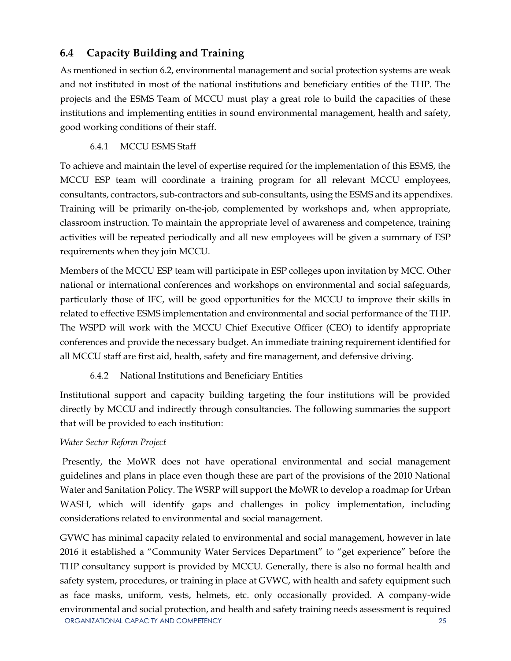#### <span id="page-31-0"></span>**6.4 Capacity Building and Training**

As mentioned in section 6.2, environmental management and social protection systems are weak and not instituted in most of the national institutions and beneficiary entities of the THP. The projects and the ESMS Team of MCCU must play a great role to build the capacities of these institutions and implementing entities in sound environmental management, health and safety, good working conditions of their staff.

#### 6.4.1 MCCU ESMS Staff

<span id="page-31-1"></span>To achieve and maintain the level of expertise required for the implementation of this ESMS, the MCCU ESP team will coordinate a training program for all relevant MCCU employees, consultants, contractors, sub-contractors and sub-consultants, using the ESMS and its appendixes. Training will be primarily on-the-job, complemented by workshops and, when appropriate, classroom instruction. To maintain the appropriate level of awareness and competence, training activities will be repeated periodically and all new employees will be given a summary of ESP requirements when they join MCCU.

Members of the MCCU ESP team will participate in ESP colleges upon invitation by MCC. Other national or international conferences and workshops on environmental and social safeguards, particularly those of IFC, will be good opportunities for the MCCU to improve their skills in related to effective ESMS implementation and environmental and social performance of the THP. The WSPD will work with the MCCU Chief Executive Officer (CEO) to identify appropriate conferences and provide the necessary budget. An immediate training requirement identified for all MCCU staff are first aid, health, safety and fire management, and defensive driving.

#### 6.4.2 National Institutions and Beneficiary Entities

<span id="page-31-2"></span>Institutional support and capacity building targeting the four institutions will be provided directly by MCCU and indirectly through consultancies. The following summaries the support that will be provided to each institution:

#### *Water Sector Reform Project*

Presently, the MoWR does not have operational environmental and social management guidelines and plans in place even though these are part of the provisions of the 2010 National Water and Sanitation Policy. The WSRP will support the MoWR to develop a roadmap for Urban WASH, which will identify gaps and challenges in policy implementation, including considerations related to environmental and social management.

ORGANIZATIONAL CAPACITY AND COMPETENCY 25 GVWC has minimal capacity related to environmental and social management, however in late 2016 it established a "Community Water Services Department" to "get experience" before the THP consultancy support is provided by MCCU. Generally, there is also no formal health and safety system, procedures, or training in place at GVWC, with health and safety equipment such as face masks, uniform, vests, helmets, etc. only occasionally provided. A company-wide environmental and social protection, and health and safety training needs assessment is required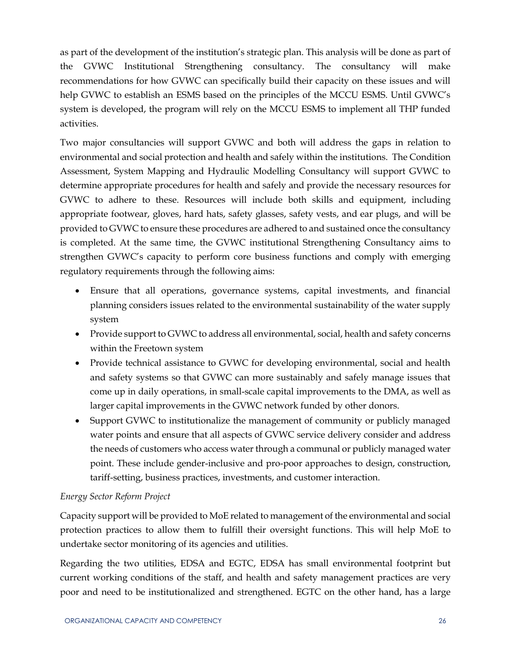as part of the development of the institution's strategic plan. This analysis will be done as part of the GVWC Institutional Strengthening consultancy. The consultancy will make recommendations for how GVWC can specifically build their capacity on these issues and will help GVWC to establish an ESMS based on the principles of the MCCU ESMS. Until GVWC's system is developed, the program will rely on the MCCU ESMS to implement all THP funded activities.

Two major consultancies will support GVWC and both will address the gaps in relation to environmental and social protection and health and safely within the institutions. The Condition Assessment, System Mapping and Hydraulic Modelling Consultancy will support GVWC to determine appropriate procedures for health and safely and provide the necessary resources for GVWC to adhere to these. Resources will include both skills and equipment, including appropriate footwear, gloves, hard hats, safety glasses, safety vests, and ear plugs, and will be provided to GVWC to ensure these procedures are adhered to and sustained once the consultancy is completed. At the same time, the GVWC institutional Strengthening Consultancy aims to strengthen GVWC's capacity to perform core business functions and comply with emerging regulatory requirements through the following aims:

- Ensure that all operations, governance systems, capital investments, and financial planning considers issues related to the environmental sustainability of the water supply system
- Provide support to GVWC to address all environmental, social, health and safety concerns within the Freetown system
- Provide technical assistance to GVWC for developing environmental, social and health and safety systems so that GVWC can more sustainably and safely manage issues that come up in daily operations, in small-scale capital improvements to the DMA, as well as larger capital improvements in the GVWC network funded by other donors.
- Support GVWC to institutionalize the management of community or publicly managed water points and ensure that all aspects of GVWC service delivery consider and address the needs of customers who access water through a communal or publicly managed water point. These include gender-inclusive and pro-poor approaches to design, construction, tariff-setting, business practices, investments, and customer interaction.

#### *Energy Sector Reform Project*

Capacity support will be provided to MoE related to management of the environmental and social protection practices to allow them to fulfill their oversight functions. This will help MoE to undertake sector monitoring of its agencies and utilities.

Regarding the two utilities, EDSA and EGTC, EDSA has small environmental footprint but current working conditions of the staff, and health and safety management practices are very poor and need to be institutionalized and strengthened. EGTC on the other hand, has a large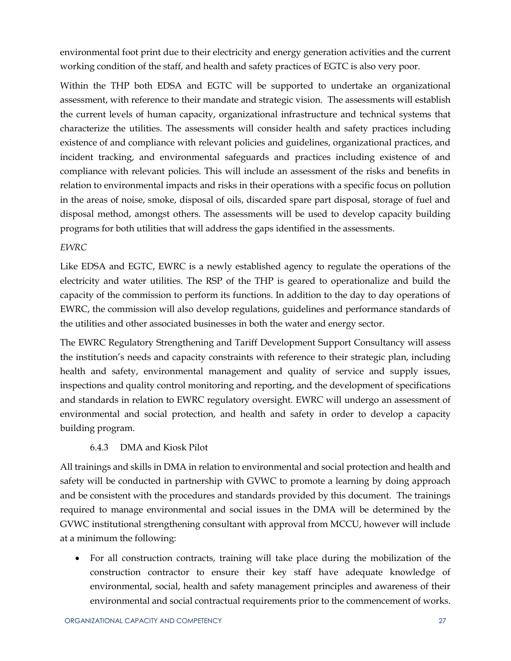environmental foot print due to their electricity and energy generation activities and the current working condition of the staff, and health and safety practices of EGTC is also very poor.

Within the THP both EDSA and EGTC will be supported to undertake an organizational assessment, with reference to their mandate and strategic vision. The assessments will establish the current levels of human capacity, organizational infrastructure and technical systems that characterize the utilities. The assessments will consider health and safety practices including existence of and compliance with relevant policies and guidelines, organizational practices, and incident tracking, and environmental safeguards and practices including existence of and compliance with relevant policies. This will include an assessment of the risks and benefits in relation to environmental impacts and risks in their operations with a specific focus on pollution in the areas of noise, smoke, disposal of oils, discarded spare part disposal, storage of fuel and disposal method, amongst others. The assessments will be used to develop capacity building programs for both utilities that will address the gaps identified in the assessments.

#### *EWRC*

Like EDSA and EGTC, EWRC is a newly established agency to regulate the operations of the electricity and water utilities. The RSP of the THP is geared to operationalize and build the capacity of the commission to perform its functions. In addition to the day to day operations of EWRC, the commission will also develop regulations, guidelines and performance standards of the utilities and other associated businesses in both the water and energy sector.

The EWRC Regulatory Strengthening and Tariff Development Support Consultancy will assess the institution's needs and capacity constraints with reference to their strategic plan, including health and safety, environmental management and quality of service and supply issues, inspections and quality control monitoring and reporting, and the development of specifications and standards in relation to EWRC regulatory oversight. EWRC will undergo an assessment of environmental and social protection, and health and safety in order to develop a capacity building program.

#### 6.4.3 DMA and Kiosk Pilot

<span id="page-33-0"></span>All trainings and skills in DMA in relation to environmental and social protection and health and safety will be conducted in partnership with GVWC to promote a learning by doing approach and be consistent with the procedures and standards provided by this document. The trainings required to manage environmental and social issues in the DMA will be determined by the GVWC institutional strengthening consultant with approval from MCCU, however will include at a minimum the following:

 For all construction contracts, training will take place during the mobilization of the construction contractor to ensure their key staff have adequate knowledge of environmental, social, health and safety management principles and awareness of their environmental and social contractual requirements prior to the commencement of works.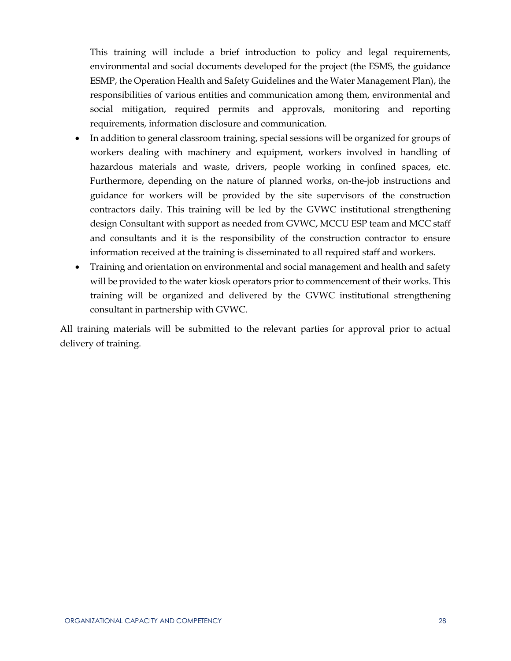This training will include a brief introduction to policy and legal requirements, environmental and social documents developed for the project (the ESMS, the guidance ESMP, the Operation Health and Safety Guidelines and the Water Management Plan), the responsibilities of various entities and communication among them, environmental and social mitigation, required permits and approvals, monitoring and reporting requirements, information disclosure and communication.

- In addition to general classroom training, special sessions will be organized for groups of workers dealing with machinery and equipment, workers involved in handling of hazardous materials and waste, drivers, people working in confined spaces, etc. Furthermore, depending on the nature of planned works, on-the-job instructions and guidance for workers will be provided by the site supervisors of the construction contractors daily. This training will be led by the GVWC institutional strengthening design Consultant with support as needed from GVWC, MCCU ESP team and MCC staff and consultants and it is the responsibility of the construction contractor to ensure information received at the training is disseminated to all required staff and workers.
- Training and orientation on environmental and social management and health and safety will be provided to the water kiosk operators prior to commencement of their works. This training will be organized and delivered by the GVWC institutional strengthening consultant in partnership with GVWC.

All training materials will be submitted to the relevant parties for approval prior to actual delivery of training.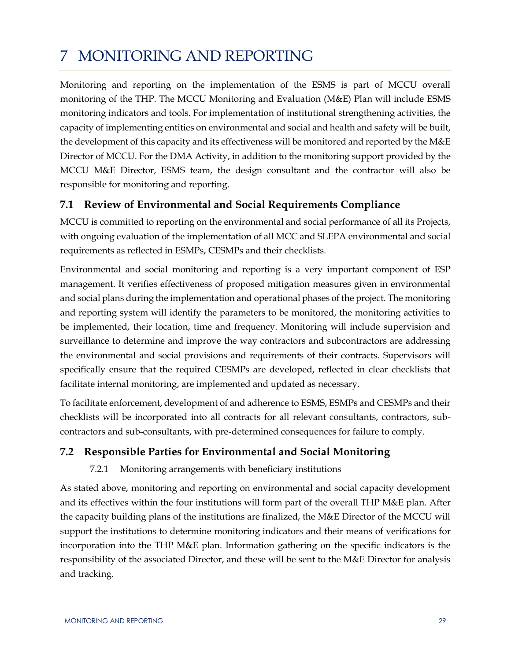## <span id="page-35-0"></span>7 MONITORING AND REPORTING

Monitoring and reporting on the implementation of the ESMS is part of MCCU overall monitoring of the THP. The MCCU Monitoring and Evaluation (M&E) Plan will include ESMS monitoring indicators and tools. For implementation of institutional strengthening activities, the capacity of implementing entities on environmental and social and health and safety will be built, the development of this capacity and its effectiveness will be monitored and reported by the M&E Director of MCCU. For the DMA Activity, in addition to the monitoring support provided by the MCCU M&E Director, ESMS team, the design consultant and the contractor will also be responsible for monitoring and reporting.

#### <span id="page-35-1"></span>**7.1 Review of Environmental and Social Requirements Compliance**

MCCU is committed to reporting on the environmental and social performance of all its Projects, with ongoing evaluation of the implementation of all MCC and SLEPA environmental and social requirements as reflected in ESMPs, CESMPs and their checklists.

Environmental and social monitoring and reporting is a very important component of ESP management. It verifies effectiveness of proposed mitigation measures given in environmental and social plans during the implementation and operational phases of the project. The monitoring and reporting system will identify the parameters to be monitored, the monitoring activities to be implemented, their location, time and frequency. Monitoring will include supervision and surveillance to determine and improve the way contractors and subcontractors are addressing the environmental and social provisions and requirements of their contracts. Supervisors will specifically ensure that the required CESMPs are developed, reflected in clear checklists that facilitate internal monitoring, are implemented and updated as necessary.

To facilitate enforcement, development of and adherence to ESMS, ESMPs and CESMPs and their checklists will be incorporated into all contracts for all relevant consultants, contractors, subcontractors and sub-consultants, with pre-determined consequences for failure to comply.

#### <span id="page-35-3"></span><span id="page-35-2"></span>**7.2 Responsible Parties for Environmental and Social Monitoring**

#### 7.2.1 Monitoring arrangements with beneficiary institutions

As stated above, monitoring and reporting on environmental and social capacity development and its effectives within the four institutions will form part of the overall THP M&E plan. After the capacity building plans of the institutions are finalized, the M&E Director of the MCCU will support the institutions to determine monitoring indicators and their means of verifications for incorporation into the THP M&E plan. Information gathering on the specific indicators is the responsibility of the associated Director, and these will be sent to the M&E Director for analysis and tracking.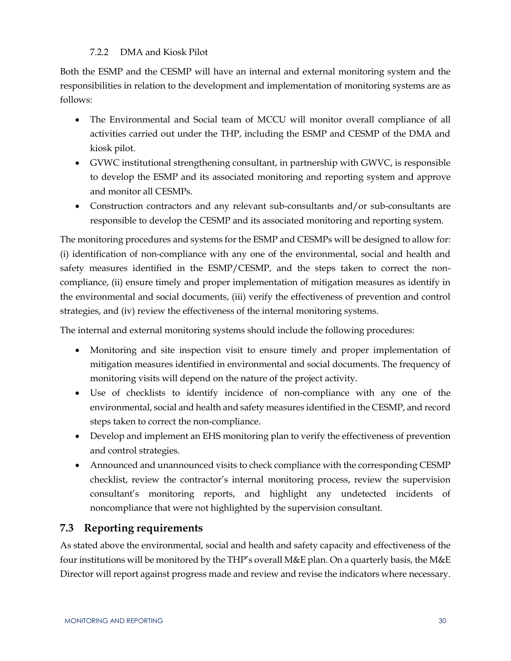#### 7.2.2 DMA and Kiosk Pilot

<span id="page-36-0"></span>Both the ESMP and the CESMP will have an internal and external monitoring system and the responsibilities in relation to the development and implementation of monitoring systems are as follows:

- The Environmental and Social team of MCCU will monitor overall compliance of all activities carried out under the THP, including the ESMP and CESMP of the DMA and kiosk pilot.
- GVWC institutional strengthening consultant, in partnership with GWVC, is responsible to develop the ESMP and its associated monitoring and reporting system and approve and monitor all CESMPs.
- Construction contractors and any relevant sub-consultants and/or sub-consultants are responsible to develop the CESMP and its associated monitoring and reporting system.

The monitoring procedures and systems for the ESMP and CESMPs will be designed to allow for: (i) identification of non-compliance with any one of the environmental, social and health and safety measures identified in the ESMP/CESMP, and the steps taken to correct the noncompliance, (ii) ensure timely and proper implementation of mitigation measures as identify in the environmental and social documents, (iii) verify the effectiveness of prevention and control strategies, and (iv) review the effectiveness of the internal monitoring systems.

The internal and external monitoring systems should include the following procedures:

- Monitoring and site inspection visit to ensure timely and proper implementation of mitigation measures identified in environmental and social documents. The frequency of monitoring visits will depend on the nature of the project activity.
- Use of checklists to identify incidence of non-compliance with any one of the environmental, social and health and safety measures identified in the CESMP, and record steps taken to correct the non-compliance.
- Develop and implement an EHS monitoring plan to verify the effectiveness of prevention and control strategies.
- Announced and unannounced visits to check compliance with the corresponding CESMP checklist, review the contractor's internal monitoring process, review the supervision consultant's monitoring reports, and highlight any undetected incidents of noncompliance that were not highlighted by the supervision consultant.

#### <span id="page-36-1"></span>**7.3 Reporting requirements**

As stated above the environmental, social and health and safety capacity and effectiveness of the four institutions will be monitored by the THP's overall M&E plan. On a quarterly basis, the M&E Director will report against progress made and review and revise the indicators where necessary.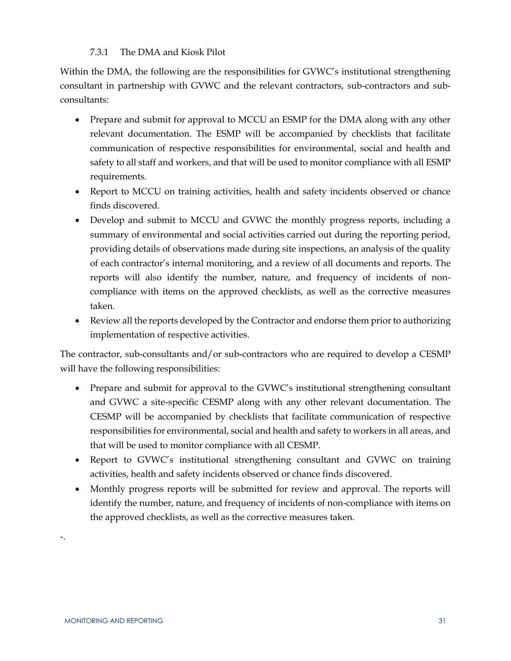#### 7.3.1 The DMA and Kiosk Pilot

<span id="page-37-0"></span>Within the DMA, the following are the responsibilities for GVWC's institutional strengthening consultant in partnership with GVWC and the relevant contractors, sub-contractors and subconsultants:

- Prepare and submit for approval to MCCU an ESMP for the DMA along with any other relevant documentation. The ESMP will be accompanied by checklists that facilitate communication of respective responsibilities for environmental, social and health and safety to all staff and workers, and that will be used to monitor compliance with all ESMP requirements.
- Report to MCCU on training activities, health and safety incidents observed or chance finds discovered.
- Develop and submit to MCCU and GVWC the monthly progress reports, including a summary of environmental and social activities carried out during the reporting period, providing details of observations made during site inspections, an analysis of the quality of each contractor's internal monitoring, and a review of all documents and reports. The reports will also identify the number, nature, and frequency of incidents of noncompliance with items on the approved checklists, as well as the corrective measures taken.
- Review all the reports developed by the Contractor and endorse them prior to authorizing implementation of respective activities.

The contractor, sub-consultants and/or sub-contractors who are required to develop a CESMP will have the following responsibilities:

- Prepare and submit for approval to the GVWC's institutional strengthening consultant and GVWC a site-specific CESMP along with any other relevant documentation. The CESMP will be accompanied by checklists that facilitate communication of respective responsibilities for environmental, social and health and safety to workers in all areas, and that will be used to monitor compliance with all CESMP.
- Report to GVWC's institutional strengthening consultant and GVWC on training activities, health and safety incidents observed or chance finds discovered.
- Monthly progress reports will be submitted for review and approval. The reports will identify the number, nature, and frequency of incidents of non-compliance with items on the approved checklists, as well as the corrective measures taken.

-.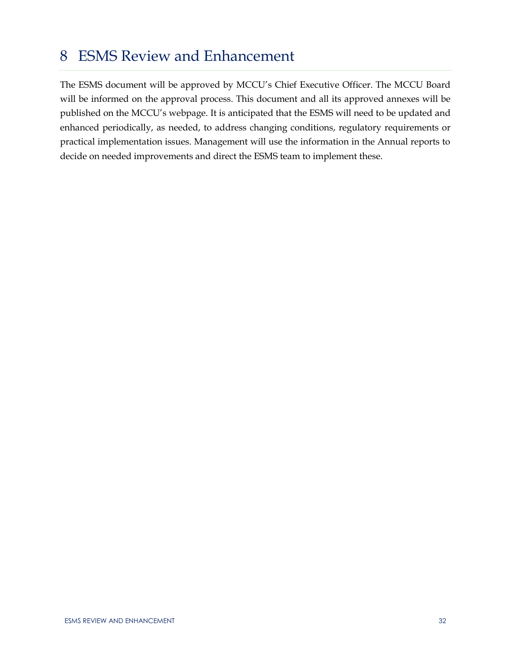## <span id="page-38-0"></span>8 ESMS Review and Enhancement

The ESMS document will be approved by MCCU's Chief Executive Officer. The MCCU Board will be informed on the approval process. This document and all its approved annexes will be published on the MCCU's webpage. It is anticipated that the ESMS will need to be updated and enhanced periodically, as needed, to address changing conditions, regulatory requirements or practical implementation issues. Management will use the information in the Annual reports to decide on needed improvements and direct the ESMS team to implement these.